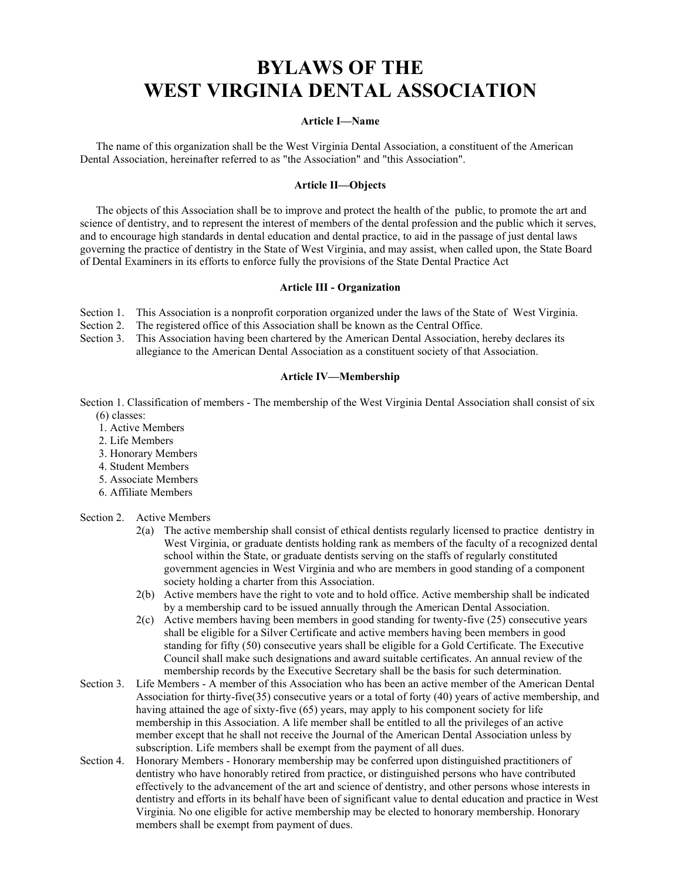# **BYLAWS OF THE WEST VIRGINIA DENTAL ASSOCIATION**

#### **Article I—Name**

The name of this organization shall be the West Virginia Dental Association, a constituent of the American Dental Association, hereinafter referred to as "the Association" and "this Association".

#### **Article II—Objects**

The objects of this Association shall be to improve and protect the health of the public, to promote the art and science of dentistry, and to represent the interest of members of the dental profession and the public which it serves, and to encourage high standards in dental education and dental practice, to aid in the passage of just dental laws governing the practice of dentistry in the State of West Virginia, and may assist, when called upon, the State Board of Dental Examiners in its efforts to enforce fully the provisions of the State Dental Practice Act

# **Article III - Organization**

Section 1. This Association is a nonprofit corporation organized under the laws of the State of West Virginia.

Section 2. The registered office of this Association shall be known as the Central Office.

Section 3. This Association having been chartered by the American Dental Association, hereby declares its allegiance to the American Dental Association as a constituent society of that Association.

#### **Article IV—Membership**

Section 1. Classification of members - The membership of the West Virginia Dental Association shall consist of six (6) classes:

- 1. Active Members
- 2. Life Members
- 3. Honorary Members
- 4. Student Members
- 5. Associate Members
- 6. Affiliate Members

#### Section 2. Active Members

- 2(a) The active membership shall consist of ethical dentists regularly licensed to practice dentistry in West Virginia, or graduate dentists holding rank as members of the faculty of a recognized dental school within the State, or graduate dentists serving on the staffs of regularly constituted government agencies in West Virginia and who are members in good standing of a component society holding a charter from this Association.
- 2(b) Active members have the right to vote and to hold office. Active membership shall be indicated by a membership card to be issued annually through the American Dental Association.
- 2(c) Active members having been members in good standing for twenty-five (25) consecutive years shall be eligible for a Silver Certificate and active members having been members in good standing for fifty (50) consecutive years shall be eligible for a Gold Certificate. The Executive Council shall make such designations and award suitable certificates. An annual review of the membership records by the Executive Secretary shall be the basis for such determination.
- Section 3. Life Members A member of this Association who has been an active member of the American Dental Association for thirty-five(35) consecutive years or a total of forty (40) years of active membership, and having attained the age of sixty-five (65) years, may apply to his component society for life membership in this Association. A life member shall be entitled to all the privileges of an active member except that he shall not receive the Journal of the American Dental Association unless by subscription. Life members shall be exempt from the payment of all dues.
- Section 4. Honorary Members Honorary membership may be conferred upon distinguished practitioners of dentistry who have honorably retired from practice, or distinguished persons who have contributed effectively to the advancement of the art and science of dentistry, and other persons whose interests in dentistry and efforts in its behalf have been of significant value to dental education and practice in West Virginia. No one eligible for active membership may be elected to honorary membership. Honorary members shall be exempt from payment of dues.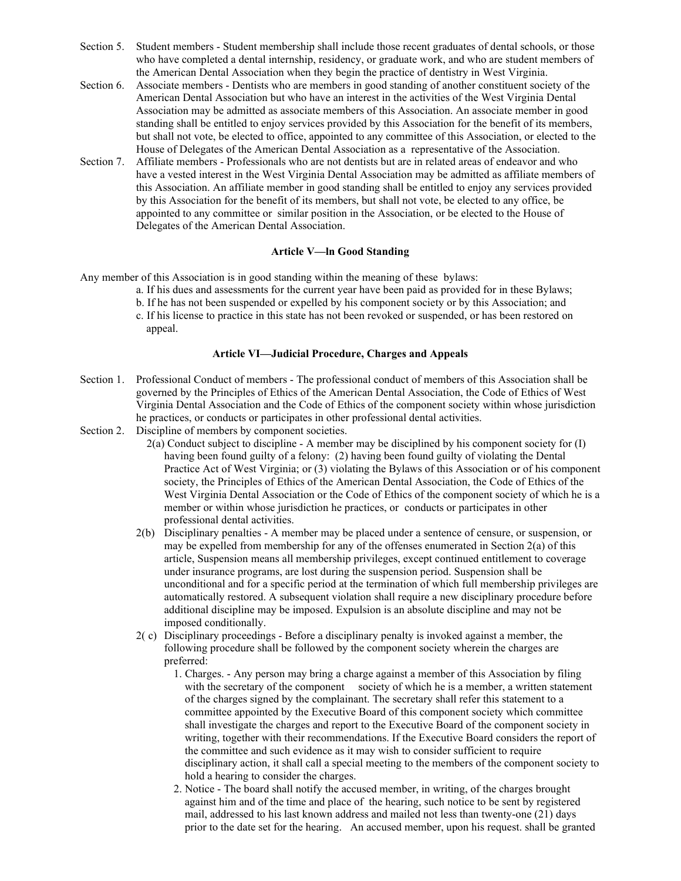- Section 5. Student members Student membership shall include those recent graduates of dental schools, or those who have completed a dental internship, residency, or graduate work, and who are student members of the American Dental Association when they begin the practice of dentistry in West Virginia.
- Section 6. Associate members Dentists who are members in good standing of another constituent society of the American Dental Association but who have an interest in the activities of the West Virginia Dental Association may be admitted as associate members of this Association. An associate member in good standing shall be entitled to enjoy services provided by this Association for the benefit of its members, but shall not vote, be elected to office, appointed to any committee of this Association, or elected to the House of Delegates of the American Dental Association as a representative of the Association.
- Section 7. Affiliate members Professionals who are not dentists but are in related areas of endeavor and who have a vested interest in the West Virginia Dental Association may be admitted as affiliate members of this Association. An affiliate member in good standing shall be entitled to enjoy any services provided by this Association for the benefit of its members, but shall not vote, be elected to any office, be appointed to any committee or similar position in the Association, or be elected to the House of Delegates of the American Dental Association.

# **Article V—ln Good Standing**

- Any member of this Association is in good standing within the meaning of these bylaws:
	- a. If his dues and assessments for the current year have been paid as provided for in these Bylaws;
	- b. If he has not been suspended or expelled by his component society or by this Association; and
	- c. If his license to practice in this state has not been revoked or suspended, or has been restored on appeal.

# **Article VI—Judicial Procedure, Charges and Appeals**

- Section 1. Professional Conduct of members The professional conduct of members of this Association shall be governed by the Principles of Ethics of the American Dental Association, the Code of Ethics of West Virginia Dental Association and the Code of Ethics of the component society within whose jurisdiction he practices, or conducts or participates in other professional dental activities.
- Section 2. Discipline of members by component societies.
	- 2(a) Conduct subject to discipline A member may be disciplined by his component society for (I) having been found guilty of a felony: (2) having been found guilty of violating the Dental Practice Act of West Virginia; or (3) violating the Bylaws of this Association or of his component society, the Principles of Ethics of the American Dental Association, the Code of Ethics of the West Virginia Dental Association or the Code of Ethics of the component society of which he is a member or within whose jurisdiction he practices, or conducts or participates in other professional dental activities.
	- 2(b) Disciplinary penalties A member may be placed under a sentence of censure, or suspension, or may be expelled from membership for any of the offenses enumerated in Section 2(a) of this article, Suspension means all membership privileges, except continued entitlement to coverage under insurance programs, are lost during the suspension period. Suspension shall be unconditional and for a specific period at the termination of which full membership privileges are automatically restored. A subsequent violation shall require a new disciplinary procedure before additional discipline may be imposed. Expulsion is an absolute discipline and may not be imposed conditionally.
	- 2( c) Disciplinary proceedings Before a disciplinary penalty is invoked against a member, the following procedure shall be followed by the component society wherein the charges are preferred:
		- 1. Charges. Any person may bring a charge against a member of this Association by filing with the secretary of the component society of which he is a member, a written statement of the charges signed by the complainant. The secretary shall refer this statement to a committee appointed by the Executive Board of this component society which committee shall investigate the charges and report to the Executive Board of the component society in writing, together with their recommendations. If the Executive Board considers the report of the committee and such evidence as it may wish to consider sufficient to require disciplinary action, it shall call a special meeting to the members of the component society to hold a hearing to consider the charges.
		- 2. Notice The board shall notify the accused member, in writing, of the charges brought against him and of the time and place of the hearing, such notice to be sent by registered mail, addressed to his last known address and mailed not less than twenty-one (21) days prior to the date set for the hearing. An accused member, upon his request. shall be granted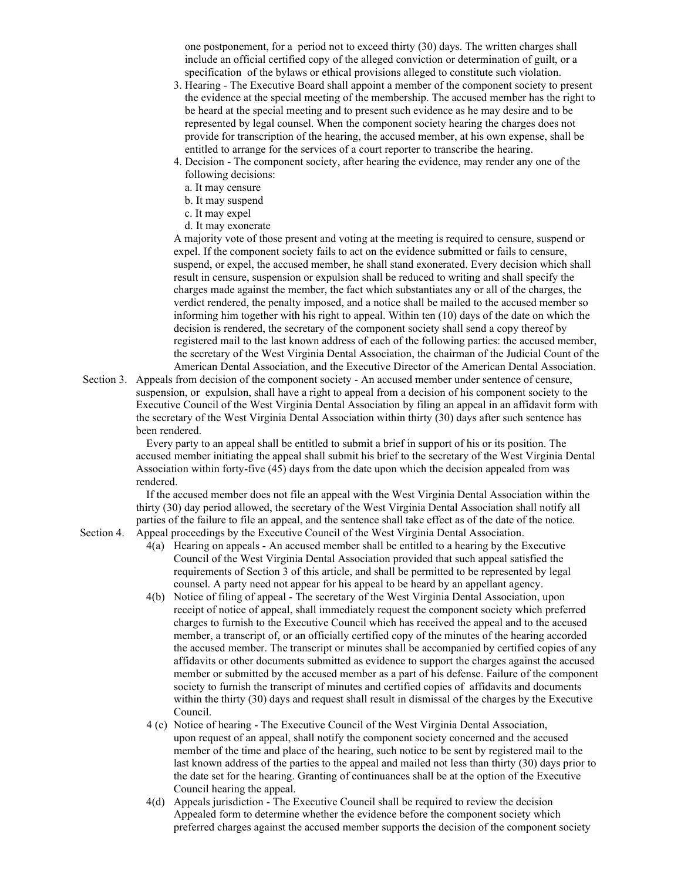one postponement, for a period not to exceed thirty (30) days. The written charges shall include an official certified copy of the alleged conviction or determination of guilt, or a specification of the bylaws or ethical provisions alleged to constitute such violation.

- 3. Hearing The Executive Board shall appoint a member of the component society to present the evidence at the special meeting of the membership. The accused member has the right to be heard at the special meeting and to present such evidence as he may desire and to be represented by legal counsel. When the component society hearing the charges does not provide for transcription of the hearing, the accused member, at his own expense, shall be entitled to arrange for the services of a court reporter to transcribe the hearing.
- 4. Decision The component society, after hearing the evidence, may render any one of the following decisions:
	- a. It may censure
	- b. It may suspend
	- c. It may expel
	- d. It may exonerate

A majority vote of those present and voting at the meeting is required to censure, suspend or expel. If the component society fails to act on the evidence submitted or fails to censure, suspend, or expel, the accused member, he shall stand exonerated. Every decision which shall result in censure, suspension or expulsion shall be reduced to writing and shall specify the charges made against the member, the fact which substantiates any or all of the charges, the verdict rendered, the penalty imposed, and a notice shall be mailed to the accused member so informing him together with his right to appeal. Within ten (10) days of the date on which the decision is rendered, the secretary of the component society shall send a copy thereof by registered mail to the last known address of each of the following parties: the accused member, the secretary of the West Virginia Dental Association, the chairman of the Judicial Count of the American Dental Association, and the Executive Director of the American Dental Association.

Section 3. Appeals from decision of the component society - An accused member under sentence of censure, suspension, or expulsion, shall have a right to appeal from a decision of his component society to the Executive Council of the West Virginia Dental Association by filing an appeal in an affidavit form with the secretary of the West Virginia Dental Association within thirty (30) days after such sentence has been rendered.

> Every party to an appeal shall be entitled to submit a brief in support of his or its position. The accused member initiating the appeal shall submit his brief to the secretary of the West Virginia Dental Association within forty-five (45) days from the date upon which the decision appealed from was rendered.

 If the accused member does not file an appeal with the West Virginia Dental Association within the thirty (30) day period allowed, the secretary of the West Virginia Dental Association shall notify all parties of the failure to file an appeal, and the sentence shall take effect as of the date of the notice. Section 4. Appeal proceedings by the Executive Council of the West Virginia Dental Association.

- 4(a) Hearing on appeals An accused member shall be entitled to a hearing by the Executive Council of the West Virginia Dental Association provided that such appeal satisfied the requirements of Section 3 of this article, and shall be permitted to be represented by legal counsel. A party need not appear for his appeal to be heard by an appellant agency.
- 4(b) Notice of filing of appeal The secretary of the West Virginia Dental Association, upon receipt of notice of appeal, shall immediately request the component society which preferred charges to furnish to the Executive Council which has received the appeal and to the accused member, a transcript of, or an officially certified copy of the minutes of the hearing accorded the accused member. The transcript or minutes shall be accompanied by certified copies of any affidavits or other documents submitted as evidence to support the charges against the accused member or submitted by the accused member as a part of his defense. Failure of the component society to furnish the transcript of minutes and certified copies of affidavits and documents within the thirty (30) days and request shall result in dismissal of the charges by the Executive Council.
- 4 (c) Notice of hearing The Executive Council of the West Virginia Dental Association, upon request of an appeal, shall notify the component society concerned and the accused member of the time and place of the hearing, such notice to be sent by registered mail to the last known address of the parties to the appeal and mailed not less than thirty (30) days prior to the date set for the hearing. Granting of continuances shall be at the option of the Executive Council hearing the appeal.
- 4(d) Appeals jurisdiction The Executive Council shall be required to review the decision Appealed form to determine whether the evidence before the component society which preferred charges against the accused member supports the decision of the component society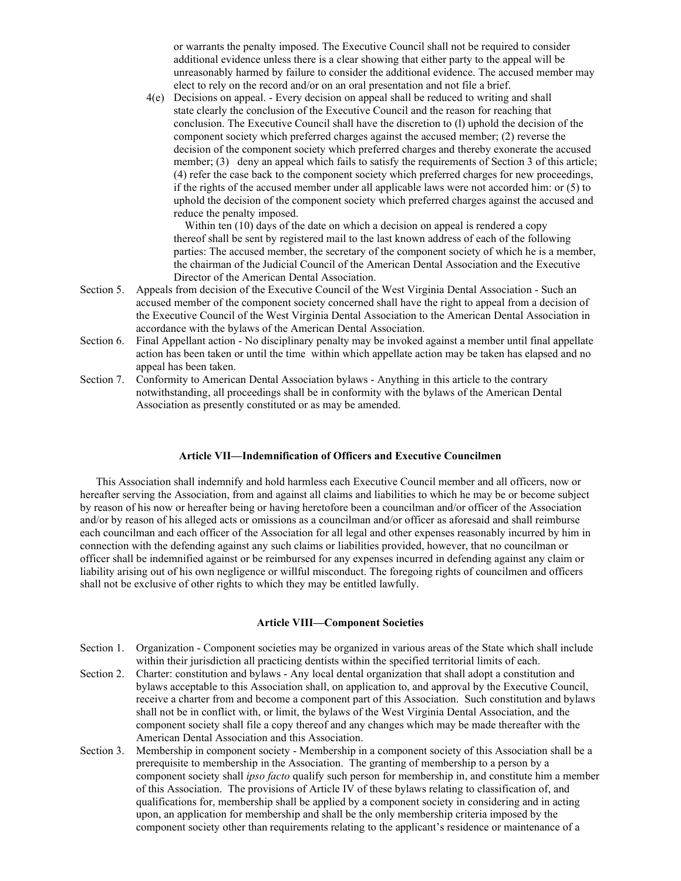or warrants the penalty imposed. The Executive Council shall not be required to consider additional evidence unless there is a clear showing that either party to the appeal will be unreasonably harmed by failure to consider the additional evidence. The accused member may elect to rely on the record and/or on an oral presentation and not file a brief.

4(e) Decisions on appeal. - Every decision on appeal shall be reduced to writing and shall state clearly the conclusion of the Executive Council and the reason for reaching that conclusion. The Executive Council shall have the discretion to (l) uphold the decision of the component society which preferred charges against the accused member; (2) reverse the decision of the component society which preferred charges and thereby exonerate the accused member; (3) deny an appeal which fails to satisfy the requirements of Section 3 of this article; (4) refer the case back to the component society which preferred charges for new proceedings, if the rights of the accused member under all applicable laws were not accorded him: or (5) to uphold the decision of the component society which preferred charges against the accused and reduce the penalty imposed.

Within ten (10) days of the date on which a decision on appeal is rendered a copy thereof shall be sent by registered mail to the last known address of each of the following parties: The accused member, the secretary of the component society of which he is a member, the chairman of the Judicial Council of the American Dental Association and the Executive Director of the American Dental Association.

- Section 5. Appeals from decision of the Executive Council of the West Virginia Dental Association Such an accused member of the component society concerned shall have the right to appeal from a decision of the Executive Council of the West Virginia Dental Association to the American Dental Association in accordance with the bylaws of the American Dental Association.
- Section 6. Final Appellant action No disciplinary penalty may be invoked against a member until final appellate action has been taken or until the time within which appellate action may be taken has elapsed and no appeal has been taken.
- Section 7. Conformity to American Dental Association bylaws Anything in this article to the contrary notwithstanding, all proceedings shall be in conformity with the bylaws of the American Dental Association as presently constituted or as may be amended.

#### **Article VII—Indemnification of Officers and Executive Councilmen**

This Association shall indemnify and hold harmless each Executive Council member and all officers, now or hereafter serving the Association, from and against all claims and liabilities to which he may be or become subject by reason of his now or hereafter being or having heretofore been a councilman and/or officer of the Association and/or by reason of his alleged acts or omissions as a councilman and/or officer as aforesaid and shall reimburse each councilman and each officer of the Association for all legal and other expenses reasonably incurred by him in connection with the defending against any such claims or liabilities provided, however, that no councilman or officer shall be indemnified against or be reimbursed for any expenses incurred in defending against any claim or liability arising out of his own negligence or willful misconduct. The foregoing rights of councilmen and officers shall not be exclusive of other rights to which they may be entitled lawfully.

# **Article VIII—Component Societies**

- Section 1. Organization Component societies may be organized in various areas of the State which shall include within their jurisdiction all practicing dentists within the specified territorial limits of each.
- Section 2. Charter: constitution and bylaws Any local dental organization that shall adopt a constitution and bylaws acceptable to this Association shall, on application to, and approval by the Executive Council, receive a charter from and become a component part of this Association. Such constitution and bylaws shall not be in conflict with, or limit, the bylaws of the West Virginia Dental Association, and the component society shall file a copy thereof and any changes which may be made thereafter with the American Dental Association and this Association.
- Section 3. Membership in component society Membership in a component society of this Association shall be a prerequisite to membership in the Association. The granting of membership to a person by a component society shall *ipso facto* qualify such person for membership in, and constitute him a member of this Association. The provisions of Article IV of these bylaws relating to classification of, and qualifications for, membership shall be applied by a component society in considering and in acting upon, an application for membership and shall be the only membership criteria imposed by the component society other than requirements relating to the applicant's residence or maintenance of a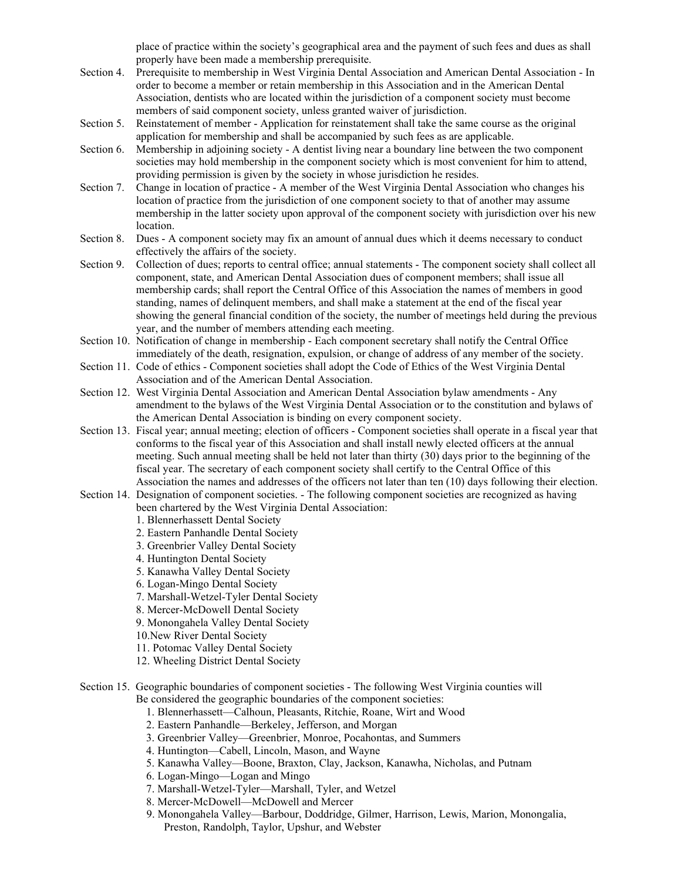place of practice within the society's geographical area and the payment of such fees and dues as shall properly have been made a membership prerequisite.

- Section 4. Prerequisite to membership in West Virginia Dental Association and American Dental Association In order to become a member or retain membership in this Association and in the American Dental Association, dentists who are located within the jurisdiction of a component society must become members of said component society, unless granted waiver of jurisdiction.
- Section 5. Reinstatement of member Application for reinstatement shall take the same course as the original application for membership and shall be accompanied by such fees as are applicable.
- Section 6. Membership in adjoining society A dentist living near a boundary line between the two component societies may hold membership in the component society which is most convenient for him to attend, providing permission is given by the society in whose jurisdiction he resides.
- Section 7. Change in location of practice A member of the West Virginia Dental Association who changes his location of practice from the jurisdiction of one component society to that of another may assume membership in the latter society upon approval of the component society with jurisdiction over his new location.
- Section 8. Dues A component society may fix an amount of annual dues which it deems necessary to conduct effectively the affairs of the society.
- Section 9. Collection of dues; reports to central office; annual statements The component society shall collect all component, state, and American Dental Association dues of component members; shall issue all membership cards; shall report the Central Office of this Association the names of members in good standing, names of delinquent members, and shall make a statement at the end of the fiscal year showing the general financial condition of the society, the number of meetings held during the previous year, and the number of members attending each meeting.
- Section 10. Notification of change in membership Each component secretary shall notify the Central Office immediately of the death, resignation, expulsion, or change of address of any member of the society.
- Section 11. Code of ethics Component societies shall adopt the Code of Ethics of the West Virginia Dental Association and of the American Dental Association.
- Section 12. West Virginia Dental Association and American Dental Association bylaw amendments Any amendment to the bylaws of the West Virginia Dental Association or to the constitution and bylaws of the American Dental Association is binding on every component society.
- Section 13. Fiscal year; annual meeting; election of officers Component societies shall operate in a fiscal year that conforms to the fiscal year of this Association and shall install newly elected officers at the annual meeting. Such annual meeting shall be held not later than thirty (30) days prior to the beginning of the fiscal year. The secretary of each component society shall certify to the Central Office of this Association the names and addresses of the officers not later than ten (10) days following their election.
- Section 14. Designation of component societies. The following component societies are recognized as having been chartered by the West Virginia Dental Association:
	- 1. Blennerhassett Dental Society
	- 2. Eastern Panhandle Dental Society
	- 3. Greenbrier Valley Dental Society
	-
	- 4. Huntington Dental Society
	- 5. Kanawha Valley Dental Society
	- 6. Logan-Mingo Dental Society
	- 7. Marshall-Wetzel-Tyler Dental Society
	- 8. Mercer-McDowell Dental Society
	- 9. Monongahela Valley Dental Society
	- 10.New River Dental Society
	- 11. Potomac Valley Dental Society
	- 12. Wheeling District Dental Society
- Section 15. Geographic boundaries of component societies The following West Virginia counties will Be considered the geographic boundaries of the component societies:
	- 1. Blennerhassett—Calhoun, Pleasants, Ritchie, Roane, Wirt and Wood
	- 2. Eastern Panhandle—Berkeley, Jefferson, and Morgan
	- 3. Greenbrier Valley—Greenbrier, Monroe, Pocahontas, and Summers
	- 4. Huntington—Cabell, Lincoln, Mason, and Wayne
	- 5. Kanawha Valley—Boone, Braxton, Clay, Jackson, Kanawha, Nicholas, and Putnam
	- 6. Logan-Mingo—Logan and Mingo
	- 7. Marshall-Wetzel-Tyler—Marshall, Tyler, and Wetzel
	- 8. Mercer-McDowell—McDowell and Mercer
	- 9. Monongahela Valley—Barbour, Doddridge, Gilmer, Harrison, Lewis, Marion, Monongalia, Preston, Randolph, Taylor, Upshur, and Webster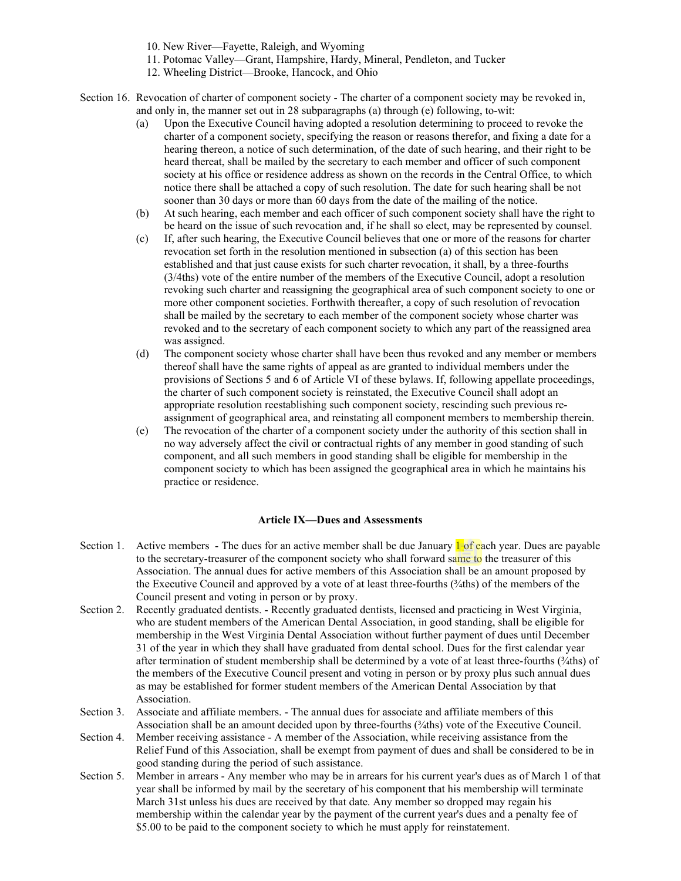- 10. New River—Fayette, Raleigh, and Wyoming
- 11. Potomac Valley—Grant, Hampshire, Hardy, Mineral, Pendleton, and Tucker
- 12. Wheeling District—Brooke, Hancock, and Ohio
- Section 16. Revocation of charter of component society The charter of a component society may be revoked in, and only in, the manner set out in 28 subparagraphs (a) through (e) following, to-wit:
	- (a) Upon the Executive Council having adopted a resolution determining to proceed to revoke the charter of a component society, specifying the reason or reasons therefor, and fixing a date for a hearing thereon, a notice of such determination, of the date of such hearing, and their right to be heard thereat, shall be mailed by the secretary to each member and officer of such component society at his office or residence address as shown on the records in the Central Office, to which notice there shall be attached a copy of such resolution. The date for such hearing shall be not sooner than 30 days or more than 60 days from the date of the mailing of the notice.
	- (b) At such hearing, each member and each officer of such component society shall have the right to be heard on the issue of such revocation and, if he shall so elect, may be represented by counsel.
	- (c) If, after such hearing, the Executive Council believes that one or more of the reasons for charter revocation set forth in the resolution mentioned in subsection (a) of this section has been established and that just cause exists for such charter revocation, it shall, by a three-fourths (3/4ths) vote of the entire number of the members of the Executive Council, adopt a resolution revoking such charter and reassigning the geographical area of such component society to one or more other component societies. Forthwith thereafter, a copy of such resolution of revocation shall be mailed by the secretary to each member of the component society whose charter was revoked and to the secretary of each component society to which any part of the reassigned area was assigned.
	- (d) The component society whose charter shall have been thus revoked and any member or members thereof shall have the same rights of appeal as are granted to individual members under the provisions of Sections 5 and 6 of Article VI of these bylaws. If, following appellate proceedings, the charter of such component society is reinstated, the Executive Council shall adopt an appropriate resolution reestablishing such component society, rescinding such previous reassignment of geographical area, and reinstating all component members to membership therein.
	- (e) The revocation of the charter of a component society under the authority of this section shall in no way adversely affect the civil or contractual rights of any member in good standing of such component, and all such members in good standing shall be eligible for membership in the component society to which has been assigned the geographical area in which he maintains his practice or residence.

# **Article IX—Dues and Assessments**

- Section 1. Active members The dues for an active member shall be due January  $\mathbf 1$  of each year. Dues are payable to the secretary-treasurer of the component society who shall forward same to the treasurer of this Association. The annual dues for active members of this Association shall be an amount proposed by the Executive Council and approved by a vote of at least three-fourths (¾ths) of the members of the Council present and voting in person or by proxy.
- Section 2. Recently graduated dentists. Recently graduated dentists, licensed and practicing in West Virginia, who are student members of the American Dental Association, in good standing, shall be eligible for membership in the West Virginia Dental Association without further payment of dues until December 31 of the year in which they shall have graduated from dental school. Dues for the first calendar year after termination of student membership shall be determined by a vote of at least three-fourths ( $\frac{3}{4}$ ths) of the members of the Executive Council present and voting in person or by proxy plus such annual dues as may be established for former student members of the American Dental Association by that Association.
- Section 3. Associate and affiliate members. The annual dues for associate and affiliate members of this Association shall be an amount decided upon by three-fourths (¾ths) vote of the Executive Council.
- Section 4. Member receiving assistance A member of the Association, while receiving assistance from the Relief Fund of this Association, shall be exempt from payment of dues and shall be considered to be in good standing during the period of such assistance.
- Section 5. Member in arrears Any member who may be in arrears for his current year's dues as of March 1 of that year shall be informed by mail by the secretary of his component that his membership will terminate March 31st unless his dues are received by that date. Any member so dropped may regain his membership within the calendar year by the payment of the current year's dues and a penalty fee of \$5.00 to be paid to the component society to which he must apply for reinstatement.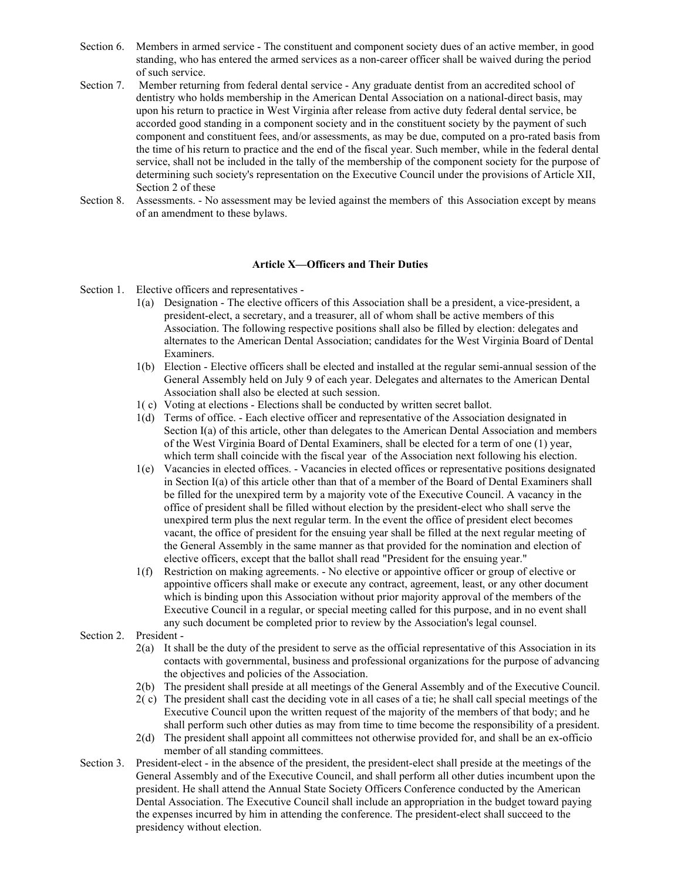- Section 6. Members in armed service The constituent and component society dues of an active member, in good standing, who has entered the armed services as a non-career officer shall be waived during the period of such service.
- Section 7. Member returning from federal dental service Any graduate dentist from an accredited school of dentistry who holds membership in the American Dental Association on a national-direct basis, may upon his return to practice in West Virginia after release from active duty federal dental service, be accorded good standing in a component society and in the constituent society by the payment of such component and constituent fees, and/or assessments, as may be due, computed on a pro-rated basis from the time of his return to practice and the end of the fiscal year. Such member, while in the federal dental service, shall not be included in the tally of the membership of the component society for the purpose of determining such society's representation on the Executive Council under the provisions of Article XII, Section 2 of these
- Section 8. Assessments. No assessment may be levied against the members of this Association except by means of an amendment to these bylaws.

# **Article X—Officers and Their Duties**

- Section 1. Elective officers and representatives
	- 1(a) Designation The elective officers of this Association shall be a president, a vice-president, a president-elect, a secretary, and a treasurer, all of whom shall be active members of this Association. The following respective positions shall also be filled by election: delegates and alternates to the American Dental Association; candidates for the West Virginia Board of Dental Examiners.
	- 1(b) Election Elective officers shall be elected and installed at the regular semi-annual session of the General Assembly held on July 9 of each year. Delegates and alternates to the American Dental Association shall also be elected at such session.
	- 1( c) Voting at elections Elections shall be conducted by written secret ballot.
	- 1(d) Terms of office. Each elective officer and representative of the Association designated in Section I(a) of this article, other than delegates to the American Dental Association and members of the West Virginia Board of Dental Examiners, shall be elected for a term of one (1) year, which term shall coincide with the fiscal year of the Association next following his election.
	- 1(e) Vacancies in elected offices. Vacancies in elected offices or representative positions designated in Section I(a) of this article other than that of a member of the Board of Dental Examiners shall be filled for the unexpired term by a majority vote of the Executive Council. A vacancy in the office of president shall be filled without election by the president-elect who shall serve the unexpired term plus the next regular term. In the event the office of president elect becomes vacant, the office of president for the ensuing year shall be filled at the next regular meeting of the General Assembly in the same manner as that provided for the nomination and election of elective officers, except that the ballot shall read "President for the ensuing year."
	- 1(f) Restriction on making agreements. No elective or appointive officer or group of elective or appointive officers shall make or execute any contract, agreement, least, or any other document which is binding upon this Association without prior majority approval of the members of the Executive Council in a regular, or special meeting called for this purpose, and in no event shall any such document be completed prior to review by the Association's legal counsel.
- Section 2. President
	- 2(a) It shall be the duty of the president to serve as the official representative of this Association in its contacts with governmental, business and professional organizations for the purpose of advancing the objectives and policies of the Association.
	- 2(b) The president shall preside at all meetings of the General Assembly and of the Executive Council.
	- 2( c) The president shall cast the deciding vote in all cases of a tie; he shall call special meetings of the Executive Council upon the written request of the majority of the members of that body; and he shall perform such other duties as may from time to time become the responsibility of a president.
	- 2(d) The president shall appoint all committees not otherwise provided for, and shall be an ex-officio member of all standing committees.
- Section 3. President-elect in the absence of the president, the president-elect shall preside at the meetings of the General Assembly and of the Executive Council, and shall perform all other duties incumbent upon the president. He shall attend the Annual State Society Officers Conference conducted by the American Dental Association. The Executive Council shall include an appropriation in the budget toward paying the expenses incurred by him in attending the conference. The president-elect shall succeed to the presidency without election.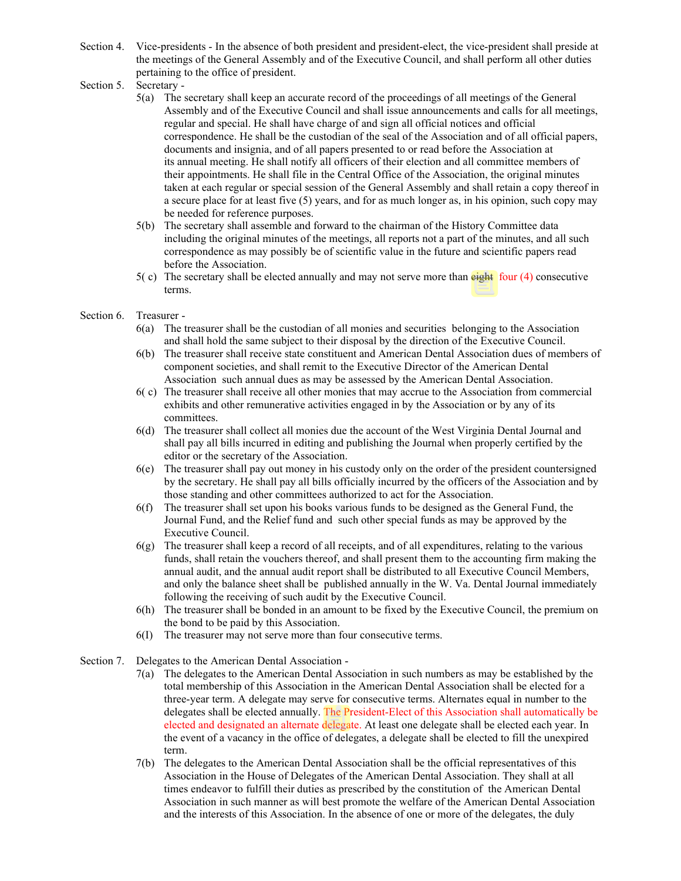- Section 4. Vice-presidents In the absence of both president and president-elect, the vice-president shall preside at the meetings of the General Assembly and of the Executive Council, and shall perform all other duties pertaining to the office of president.
- Section 5. Secretary
	- 5(a) The secretary shall keep an accurate record of the proceedings of all meetings of the General Assembly and of the Executive Council and shall issue announcements and calls for all meetings, regular and special. He shall have charge of and sign all official notices and official correspondence. He shall be the custodian of the seal of the Association and of all official papers, documents and insignia, and of all papers presented to or read before the Association at its annual meeting. He shall notify all officers of their election and all committee members of their appointments. He shall file in the Central Office of the Association, the original minutes taken at each regular or special session of the General Assembly and shall retain a copy thereof in a secure place for at least five (5) years, and for as much longer as, in his opinion, such copy may be needed for reference purposes.
	- 5(b) The secretary shall assemble and forward to the chairman of the History Committee data including the original minutes of the meetings, all reports not a part of the minutes, and all such correspondence as may possibly be of scientific value in the future and scientific papers read before the Association.
	- $5(c)$  The secretary shall be elected annually and may not serve more than eight four (4) consecutive terms.
- Section 6 Treasurer -
	- 6(a) The treasurer shall be the custodian of all monies and securities belonging to the Association and shall hold the same subject to their disposal by the direction of the Executive Council.
	- 6(b) The treasurer shall receive state constituent and American Dental Association dues of members of component societies, and shall remit to the Executive Director of the American Dental Association such annual dues as may be assessed by the American Dental Association.
	- 6( c) The treasurer shall receive all other monies that may accrue to the Association from commercial exhibits and other remunerative activities engaged in by the Association or by any of its committees.
	- 6(d) The treasurer shall collect all monies due the account of the West Virginia Dental Journal and shall pay all bills incurred in editing and publishing the Journal when properly certified by the editor or the secretary of the Association.
	- 6(e) The treasurer shall pay out money in his custody only on the order of the president countersigned by the secretary. He shall pay all bills officially incurred by the officers of the Association and by those standing and other committees authorized to act for the Association.
	- 6(f) The treasurer shall set upon his books various funds to be designed as the General Fund, the Journal Fund, and the Relief fund and such other special funds as may be approved by the Executive Council.
	- 6(g) The treasurer shall keep a record of all receipts, and of all expenditures, relating to the various funds, shall retain the vouchers thereof, and shall present them to the accounting firm making the annual audit, and the annual audit report shall be distributed to all Executive Council Members, and only the balance sheet shall be published annually in the W. Va. Dental Journal immediately following the receiving of such audit by the Executive Council.
	- 6(h) The treasurer shall be bonded in an amount to be fixed by the Executive Council, the premium on the bond to be paid by this Association.
	- 6(I) The treasurer may not serve more than four consecutive terms.
- Section 7. Delegates to the American Dental Association
	- 7(a) The delegates to the American Dental Association in such numbers as may be established by the total membership of this Association in the American Dental Association shall be elected for a three-year term. A delegate may serve for consecutive terms. Alternates equal in number to the delegates shall be elected annually. The President-Elect of this Association shall automatically be elected and designated an alternate delegate. At least one delegate shall be elected each year. In the event of a vacancy in the office of delegates, a delegate shall be elected to fill the unexpired term.
	- 7(b) The delegates to the American Dental Association shall be the official representatives of this Association in the House of Delegates of the American Dental Association. They shall at all times endeavor to fulfill their duties as prescribed by the constitution of the American Dental Association in such manner as will best promote the welfare of the American Dental Association and the interests of this Association. In the absence of one or more of the delegates, the duly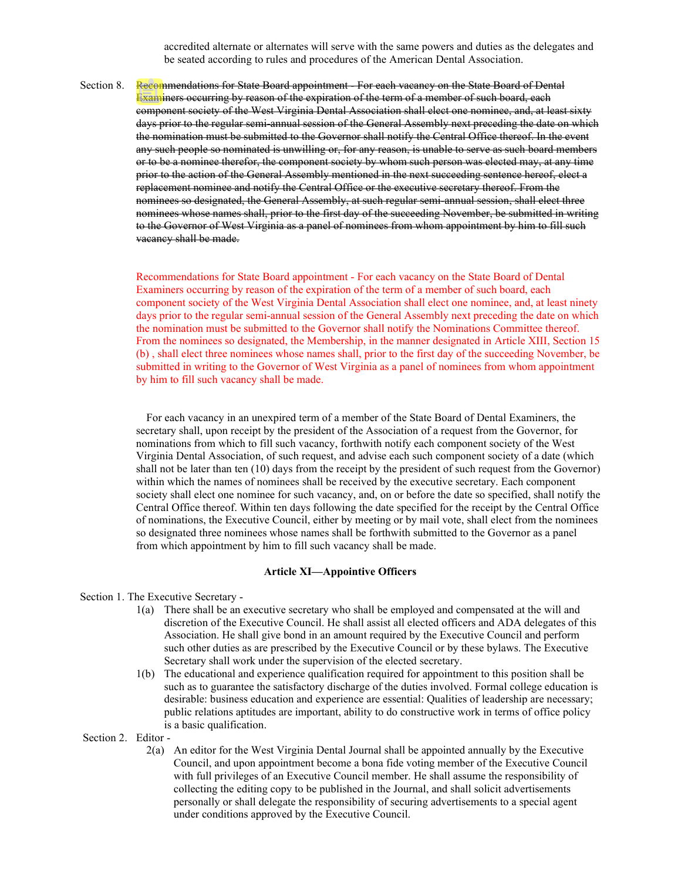accredited alternate or alternates will serve with the same powers and duties as the delegates and be seated according to rules and procedures of the American Dental Association.

Section 8. Recommendations for State Board appointment For each vacancy on the State Board of Dental Examiners occurring by reason of the expiration of the term of a member of such board, each component society of the West Virginia Dental Association shall elect one nominee, and, at least sixty days prior to the regular semi-annual session of the General Assembly next preceding the date on which the nomination must be submitted to the Governor shall notify the Central Office thereof. In the event any such people so nominated is unwilling or, for any reason, is unable to serve as such board members or to be a nominee therefor, the component society by whom such person was elected may, at any time prior to the action of the General Assembly mentioned in the next succeeding sentence hereof, elect a replacement nominee and notify the Central Office or the executive secretary thereof. From the nominees so designated, the General Assembly, at such regular semi-annual session, shall elect three nominees whose names shall, prior to the first day of the succeeding November, be submitted in writing to the Governor of West Virginia as a panel of nominees from whom appointment by him to fill such vacancy shall be made.

> Recommendations for State Board appointment - For each vacancy on the State Board of Dental Examiners occurring by reason of the expiration of the term of a member of such board, each component society of the West Virginia Dental Association shall elect one nominee, and, at least ninety days prior to the regular semi-annual session of the General Assembly next preceding the date on which the nomination must be submitted to the Governor shall notify the Nominations Committee thereof. From the nominees so designated, the Membership, in the manner designated in Article XIII, Section 15 (b) , shall elect three nominees whose names shall, prior to the first day of the succeeding November, be submitted in writing to the Governor of West Virginia as a panel of nominees from whom appointment by him to fill such vacancy shall be made.

> For each vacancy in an unexpired term of a member of the State Board of Dental Examiners, the secretary shall, upon receipt by the president of the Association of a request from the Governor, for nominations from which to fill such vacancy, forthwith notify each component society of the West Virginia Dental Association, of such request, and advise each such component society of a date (which shall not be later than ten (10) days from the receipt by the president of such request from the Governor) within which the names of nominees shall be received by the executive secretary. Each component society shall elect one nominee for such vacancy, and, on or before the date so specified, shall notify the Central Office thereof. Within ten days following the date specified for the receipt by the Central Office of nominations, the Executive Council, either by meeting or by mail vote, shall elect from the nominees so designated three nominees whose names shall be forthwith submitted to the Governor as a panel from which appointment by him to fill such vacancy shall be made.

# **Article XI—Appointive Officers**

#### Section 1. The Executive Secretary -

- 1(a) There shall be an executive secretary who shall be employed and compensated at the will and discretion of the Executive Council. He shall assist all elected officers and ADA delegates of this Association. He shall give bond in an amount required by the Executive Council and perform such other duties as are prescribed by the Executive Council or by these bylaws. The Executive Secretary shall work under the supervision of the elected secretary.
- 1(b) The educational and experience qualification required for appointment to this position shall be such as to guarantee the satisfactory discharge of the duties involved. Formal college education is desirable: business education and experience are essential: Qualities of leadership are necessary; public relations aptitudes are important, ability to do constructive work in terms of office policy is a basic qualification.

Section 2. Editor -

 2(a) An editor for the West Virginia Dental Journal shall be appointed annually by the Executive Council, and upon appointment become a bona fide voting member of the Executive Council with full privileges of an Executive Council member. He shall assume the responsibility of collecting the editing copy to be published in the Journal, and shall solicit advertisements personally or shall delegate the responsibility of securing advertisements to a special agent under conditions approved by the Executive Council.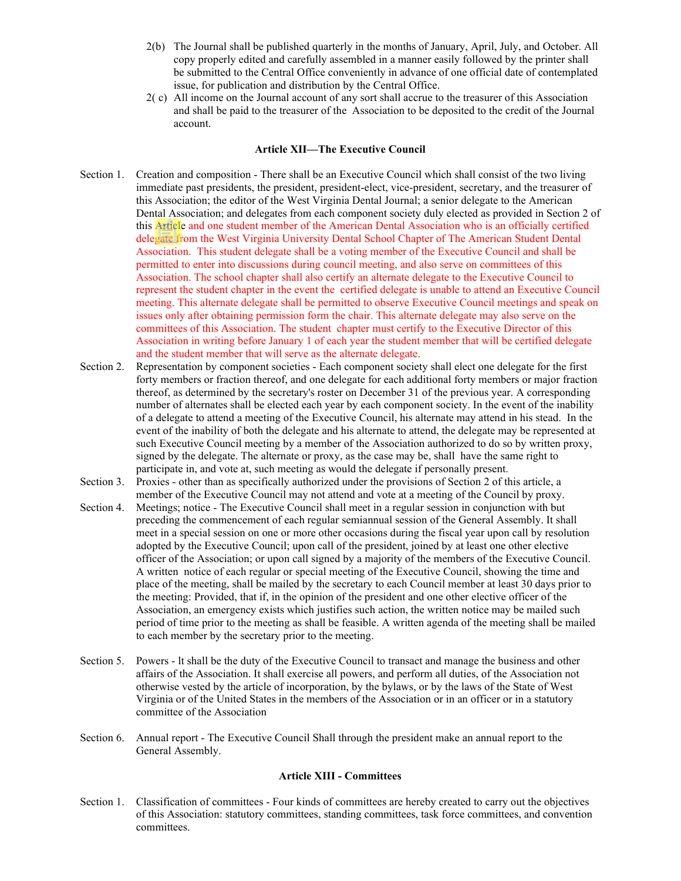- 2(b) The Journal shall be published quarterly in the months of January, April, July, and October. All copy properly edited and carefully assembled in a manner easily followed by the printer shall be submitted to the Central Office conveniently in advance of one official date of contemplated issue, for publication and distribution by the Central Office.
- 2( c) All income on the Journal account of any sort shall accrue to the treasurer of this Association and shall be paid to the treasurer of the Association to be deposited to the credit of the Journal account.

#### **Article XII—The Executive Council**

- Section 1. Creation and composition There shall be an Executive Council which shall consist of the two living immediate past presidents, the president, president-elect, vice-president, secretary, and the treasurer of this Association; the editor of the West Virginia Dental Journal; a senior delegate to the American Dental Association; and delegates from each component society duly elected as provided in Section 2 of this Article and one student member of the American Dental Association who is an officially certified delegate from the West Virginia University Dental School Chapter of The American Student Dental Association. This student delegate shall be a voting member of the Executive Council and shall be permitted to enter into discussions during council meeting, and also serve on committees of this Association. The school chapter shall also certify an alternate delegate to the Executive Council to represent the student chapter in the event the certified delegate is unable to attend an Executive Council meeting. This alternate delegate shall be permitted to observe Executive Council meetings and speak on issues only after obtaining permission form the chair. This alternate delegate may also serve on the committees of this Association. The student chapter must certify to the Executive Director of this Association in writing before January 1 of each year the student member that will be certified delegate and the student member that will serve as the alternate delegate.
- Section 2. Representation by component societies Each component society shall elect one delegate for the first forty members or fraction thereof, and one delegate for each additional forty members or major fraction thereof, as determined by the secretary's roster on December 31 of the previous year. A corresponding number of alternates shall be elected each year by each component society. In the event of the inability of a delegate to attend a meeting of the Executive Council, his alternate may attend in his stead. In the event of the inability of both the delegate and his alternate to attend, the delegate may be represented at such Executive Council meeting by a member of the Association authorized to do so by written proxy, signed by the delegate. The alternate or proxy, as the case may be, shall have the same right to participate in, and vote at, such meeting as would the delegate if personally present.
- Section 3. Proxies other than as specifically authorized under the provisions of Section 2 of this article, a member of the Executive Council may not attend and vote at a meeting of the Council by proxy.
- Section 4. Meetings; notice The Executive Council shall meet in a regular session in conjunction with but preceding the commencement of each regular semiannual session of the General Assembly. It shall meet in a special session on one or more other occasions during the fiscal year upon call by resolution adopted by the Executive Council; upon call of the president, joined by at least one other elective officer of the Association; or upon call signed by a majority of the members of the Executive Council. A written notice of each regular or special meeting of the Executive Council, showing the time and place of the meeting, shall be mailed by the secretary to each Council member at least 30 days prior to the meeting: Provided, that if, in the opinion of the president and one other elective officer of the Association, an emergency exists which justifies such action, the written notice may be mailed such period of time prior to the meeting as shall be feasible. A written agenda of the meeting shall be mailed to each member by the secretary prior to the meeting.
- Section 5. Powers lt shall be the duty of the Executive Council to transact and manage the business and other affairs of the Association. It shall exercise all powers, and perform all duties, of the Association not otherwise vested by the article of incorporation, by the bylaws, or by the laws of the State of West Virginia or of the United States in the members of the Association or in an officer or in a statutory committee of the Association
- Section 6. Annual report The Executive Council Shall through the president make an annual report to the General Assembly.

# **Article XIII - Committees**

Section 1. Classification of committees - Four kinds of committees are hereby created to carry out the objectives of this Association: statutory committees, standing committees, task force committees, and convention committees.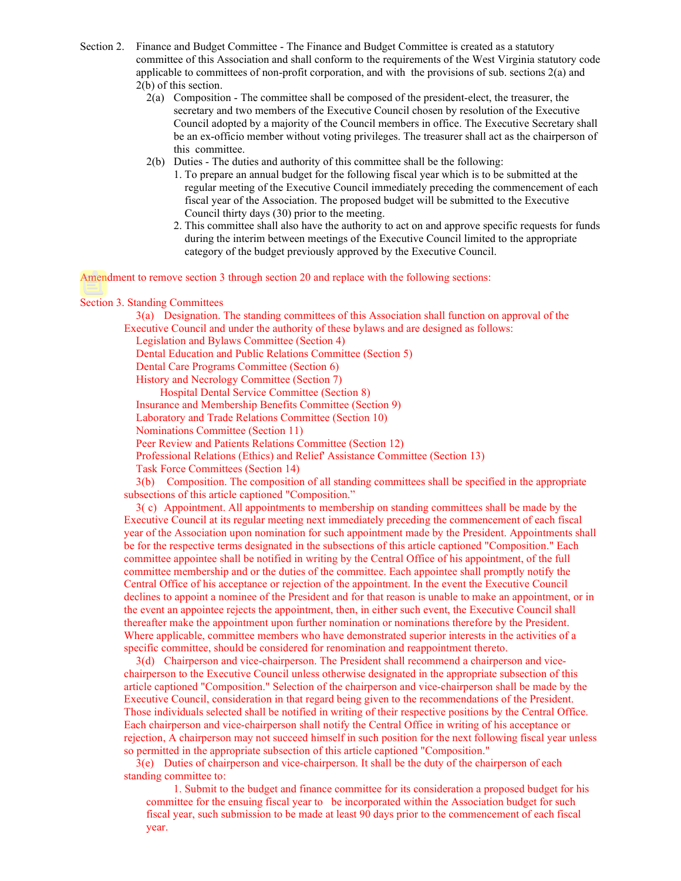- Section 2. Finance and Budget Committee The Finance and Budget Committee is created as a statutory committee of this Association and shall conform to the requirements of the West Virginia statutory code applicable to committees of non-profit corporation, and with the provisions of sub. sections 2(a) and 2(b) of this section.
	- 2(a) Composition The committee shall be composed of the president-elect, the treasurer, the secretary and two members of the Executive Council chosen by resolution of the Executive Council adopted by a majority of the Council members in office. The Executive Secretary shall be an ex-officio member without voting privileges. The treasurer shall act as the chairperson of this committee.
	- 2(b) Duties The duties and authority of this committee shall be the following:
		- 1. To prepare an annual budget for the following fiscal year which is to be submitted at the regular meeting of the Executive Council immediately preceding the commencement of each fiscal year of the Association. The proposed budget will be submitted to the Executive Council thirty days (30) prior to the meeting.
		- 2. This committee shall also have the authority to act on and approve specific requests for funds during the interim between meetings of the Executive Council limited to the appropriate category of the budget previously approved by the Executive Council.

Amendment to remove section 3 through section 20 and replace with the following sections:

#### Section 3. Standing Committees

3(a) Designation. The standing committees of this Association shall function on approval of the Executive Council and under the authority of these bylaws and are designed as follows:

Legislation and Bylaws Committee (Section 4)

Dental Education and Public Relations Committee (Section 5)

Dental Care Programs Committee (Section 6)

History and Necrology Committee (Section 7)

Hospital Dental Service Committee (Section 8)

Insurance and Membership Benefits Committee (Section 9)

Laboratory and Trade Relations Committee (Section 10)

Nominations Committee (Section 11)

Peer Review and Patients Relations Committee (Section 12)

Professional Relations (Ethics) and Relief' Assistance Committee (Section 13)

Task Force Committees (Section 14)

3(b) Composition. The composition of all standing committees shall be specified in the appropriate subsections of this article captioned "Composition."

3( c) Appointment. All appointments to membership on standing committees shall be made by the Executive Council at its regular meeting next immediately preceding the commencement of each fiscal year of the Association upon nomination for such appointment made by the President. Appointments shall be for the respective terms designated in the subsections of this article captioned "Composition." Each committee appointee shall be notified in writing by the Central Office of his appointment, of the full committee membership and or the duties of the committee. Each appointee shall promptly notify the Central Office of his acceptance or rejection of the appointment. In the event the Executive Council declines to appoint a nominee of the President and for that reason is unable to make an appointment, or in the event an appointee rejects the appointment, then, in either such event, the Executive Council shall thereafter make the appointment upon further nomination or nominations therefore by the President. Where applicable, committee members who have demonstrated superior interests in the activities of a specific committee, should be considered for renomination and reappointment thereto.

3(d) Chairperson and vice-chairperson. The President shall recommend a chairperson and vicechairperson to the Executive Council unless otherwise designated in the appropriate subsection of this article captioned "Composition." Selection of the chairperson and vice-chairperson shall be made by the Executive Council, consideration in that regard being given to the recommendations of the President. Those individuals selected shall be notified in writing of their respective positions by the Central Office. Each chairperson and vice-chairperson shall notify the Central Office in writing of his acceptance or rejection, A chairperson may not succeed himself in such position for the next following fiscal year unless so permitted in the appropriate subsection of this article captioned "Composition."

3(e) Duties of chairperson and vice-chairperson. It shall be the duty of the chairperson of each standing committee to:

1. Submit to the budget and finance committee for its consideration a proposed budget for his committee for the ensuing fiscal year to be incorporated within the Association budget for such fiscal year, such submission to be made at least 90 days prior to the commencement of each fiscal year.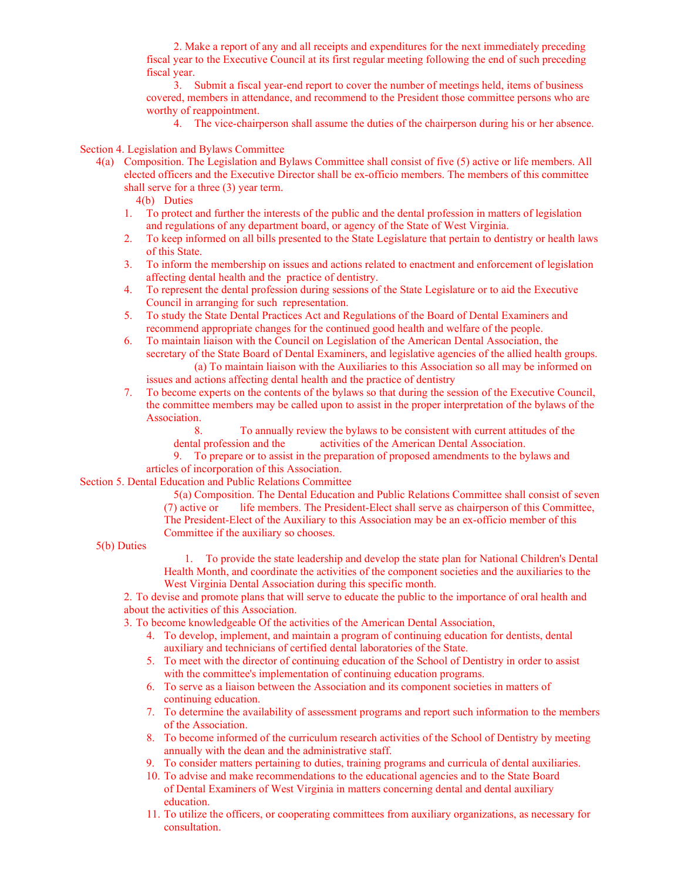2. Make a report of any and all receipts and expenditures for the next immediately preceding fiscal year to the Executive Council at its first regular meeting following the end of such preceding fiscal year.

3. Submit a fiscal year-end report to cover the number of meetings held, items of business covered, members in attendance, and recommend to the President those committee persons who are worthy of reappointment.

4. The vice-chairperson shall assume the duties of the chairperson during his or her absence.

# Section 4. Legislation and Bylaws Committee

- 4(a) Composition. The Legislation and Bylaws Committee shall consist of five (5) active or life members. All elected officers and the Executive Director shall be ex-officio members. The members of this committee shall serve for a three (3) year term.
	- 4(b) Duties
	- 1. To protect and further the interests of the public and the dental profession in matters of legislation and regulations of any department board, or agency of the State of West Virginia.
	- 2. To keep informed on all bills presented to the State Legislature that pertain to dentistry or health laws of this State.
	- 3. To inform the membership on issues and actions related to enactment and enforcement of legislation affecting dental health and the practice of dentistry.
	- 4. To represent the dental profession during sessions of the State Legislature or to aid the Executive Council in arranging for such representation.
	- 5. To study the State Dental Practices Act and Regulations of the Board of Dental Examiners and recommend appropriate changes for the continued good health and welfare of the people.
	- 6. To maintain liaison with the Council on Legislation of the American Dental Association, the secretary of the State Board of Dental Examiners, and legislative agencies of the allied health groups. (a) To maintain liaison with the Auxiliaries to this Association so all may be informed on issues and actions affecting dental health and the practice of dentistry
	- 7. To become experts on the contents of the bylaws so that during the session of the Executive Council, the committee members may be called upon to assist in the proper interpretation of the bylaws of the Association.

8. To annually review the bylaws to be consistent with current attitudes of the dental profession and the activities of the American Dental Association.

9. To prepare or to assist in the preparation of proposed amendments to the bylaws and articles of incorporation of this Association.

Section 5. Dental Education and Public Relations Committee

5(a) Composition. The Dental Education and Public Relations Committee shall consist of seven (7) active or life members. The President-Elect shall serve as chairperson of this Committee, The President-Elect of the Auxiliary to this Association may be an ex-officio member of this Committee if the auxiliary so chooses.

5(b) Duties

1. To provide the state leadership and develop the state plan for National Children's Dental Health Month, and coordinate the activities of the component societies and the auxiliaries to the West Virginia Dental Association during this specific month.

2. To devise and promote plans that will serve to educate the public to the importance of oral health and about the activities of this Association.

3. To become knowledgeable Of the activities of the American Dental Association,

- 4. To develop, implement, and maintain a program of continuing education for dentists, dental auxiliary and technicians of certified dental laboratories of the State.
- 5. To meet with the director of continuing education of the School of Dentistry in order to assist with the committee's implementation of continuing education programs.
- 6. To serve as a liaison between the Association and its component societies in matters of continuing education.
- 7. To determine the availability of assessment programs and report such information to the members of the Association.
- 8. To become informed of the curriculum research activities of the School of Dentistry by meeting annually with the dean and the administrative staff.
- 9. To consider matters pertaining to duties, training programs and curricula of dental auxiliaries.
- 10. To advise and make recommendations to the educational agencies and to the State Board of Dental Examiners of West Virginia in matters concerning dental and dental auxiliary education.
- 11. To utilize the officers, or cooperating committees from auxiliary organizations, as necessary for consultation.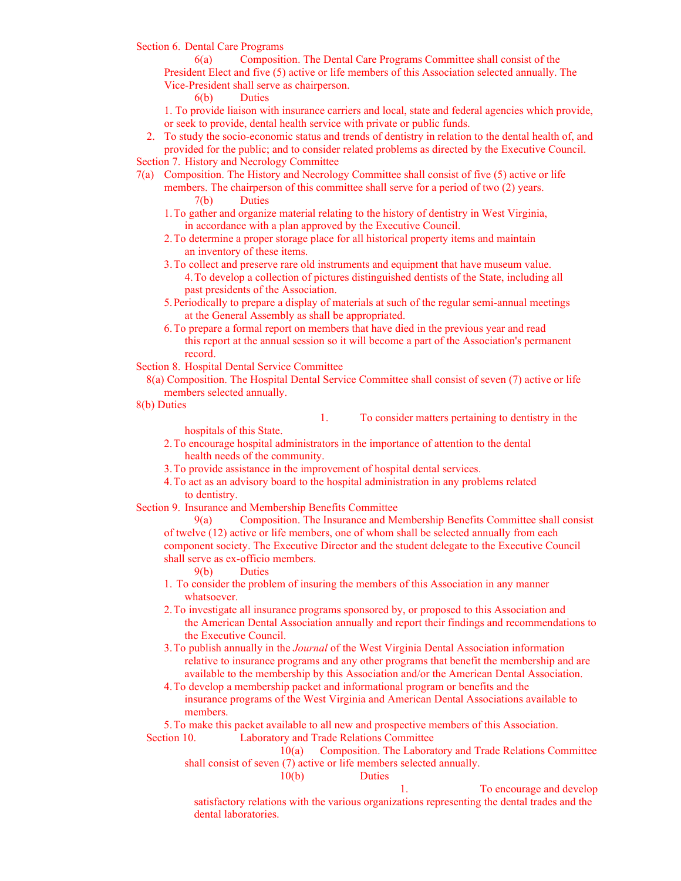Section 6. Dental Care Programs

6(a) Composition. The Dental Care Programs Committee shall consist of the President Elect and five (5) active or life members of this Association selected annually. The Vice-President shall serve as chairperson.

6(b) Duties

1. To provide liaison with insurance carriers and local, state and federal agencies which provide, or seek to provide, dental health service with private or public funds.

2. To study the socio-economic status and trends of dentistry in relation to the dental health of, and provided for the public; and to consider related problems as directed by the Executive Council. Section 7. History and Necrology Committee

- 7(a) Composition. The History and Necrology Committee shall consist of five (5) active or life
	- members. The chairperson of this committee shall serve for a period of two (2) years. 7(b) Duties
		- 1.To gather and organize material relating to the history of dentistry in West Virginia, in accordance with a plan approved by the Executive Council.
		- 2.To determine a proper storage place for all historical property items and maintain an inventory of these items.
		- 3.To collect and preserve rare old instruments and equipment that have museum value. 4.To develop a collection of pictures distinguished dentists of the State, including all past presidents of the Association.
		- 5.Periodically to prepare a display of materials at such of the regular semi-annual meetings at the General Assembly as shall be appropriated.
		- 6.To prepare a formal report on members that have died in the previous year and read this report at the annual session so it will become a part of the Association's permanent record.

Section 8. Hospital Dental Service Committee

8(a) Composition. The Hospital Dental Service Committee shall consist of seven (7) active or life members selected annually.

8(b) Duties

1. To consider matters pertaining to dentistry in the

hospitals of this State.

- 2.To encourage hospital administrators in the importance of attention to the dental health needs of the community.
- 3.To provide assistance in the improvement of hospital dental services.
- 4.To act as an advisory board to the hospital administration in any problems related to dentistry.

Section 9. Insurance and Membership Benefits Committee

9(a) Composition. The Insurance and Membership Benefits Committee shall consist of twelve (12) active or life members, one of whom shall be selected annually from each component society. The Executive Director and the student delegate to the Executive Council shall serve as ex-officio members.

- 9(b) Duties
- 1. To consider the problem of insuring the members of this Association in any manner whatsoever.

2.To investigate all insurance programs sponsored by, or proposed to this Association and the American Dental Association annually and report their findings and recommendations to the Executive Council.

3.To publish annually in the *Journal* of the West Virginia Dental Association information relative to insurance programs and any other programs that benefit the membership and are available to the membership by this Association and/or the American Dental Association.

4.To develop a membership packet and informational program or benefits and the insurance programs of the West Virginia and American Dental Associations available to members.

5.To make this packet available to all new and prospective members of this Association. Section 10. Laboratory and Trade Relations Committee

10(a) Composition. The Laboratory and Trade Relations Committee shall consist of seven (7) active or life members selected annually.

10(b) Duties

1. To encourage and develop satisfactory relations with the various organizations representing the dental trades and the dental laboratories.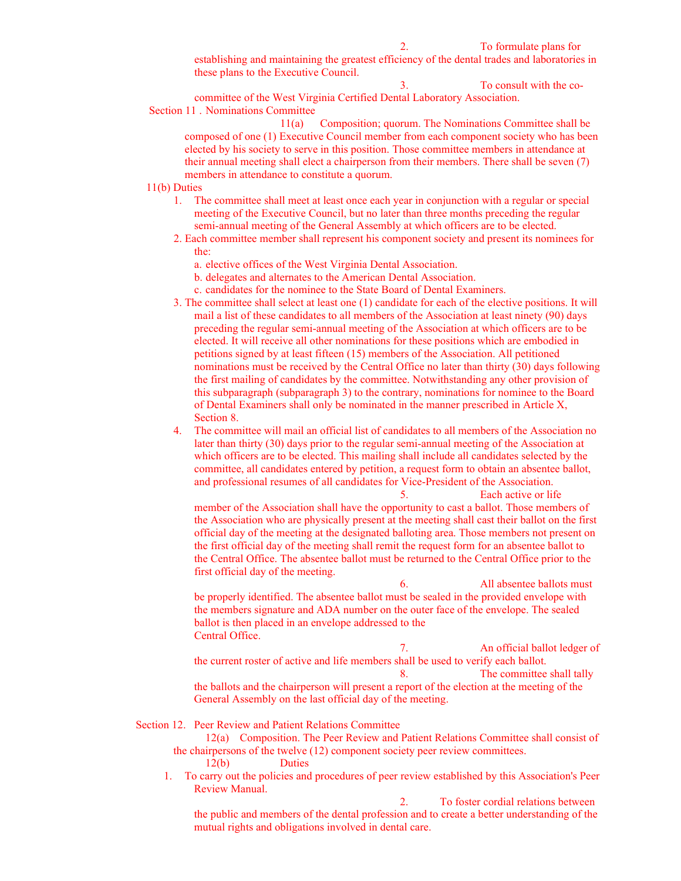2. To formulate plans for

establishing and maintaining the greatest efficiency of the dental trades and laboratories in these plans to the Executive Council.

3. To consult with the cocommittee of the West Virginia Certified Dental Laboratory Association. Section 11 . Nominations Committee

11(a) Composition; quorum. The Nominations Committee shall be composed of one (1) Executive Council member from each component society who has been elected by his society to serve in this position. Those committee members in attendance at their annual meeting shall elect a chairperson from their members. There shall be seven (7) members in attendance to constitute a quorum.

11(b) Duties

- 1. The committee shall meet at least once each year in conjunction with a regular or special meeting of the Executive Council, but no later than three months preceding the regular semi-annual meeting of the General Assembly at which officers are to be elected.
- 2. Each committee member shall represent his component society and present its nominees for the:
	- a. elective offices of the West Virginia Dental Association.
	- b. delegates and alternates to the American Dental Association.
	- c. candidates for the nominee to the State Board of Dental Examiners.
- 3. The committee shall select at least one (1) candidate for each of the elective positions. It will mail a list of these candidates to all members of the Association at least ninety (90) days preceding the regular semi-annual meeting of the Association at which officers are to be elected. It will receive all other nominations for these positions which are embodied in petitions signed by at least fifteen (15) members of the Association. All petitioned nominations must be received by the Central Office no later than thirty (30) days following the first mailing of candidates by the committee. Notwithstanding any other provision of this subparagraph (subparagraph 3) to the contrary, nominations for nominee to the Board of Dental Examiners shall only be nominated in the manner prescribed in Article X, Section 8.
- 4. The committee will mail an official list of candidates to all members of the Association no later than thirty (30) days prior to the regular semi-annual meeting of the Association at which officers are to be elected. This mailing shall include all candidates selected by the committee, all candidates entered by petition, a request form to obtain an absentee ballot, and professional resumes of all candidates for Vice-President of the Association.

5. Each active or life member of the Association shall have the opportunity to cast a ballot. Those members of the Association who are physically present at the meeting shall cast their ballot on the first official day of the meeting at the designated balloting area. Those members not present on the first official day of the meeting shall remit the request form for an absentee ballot to the Central Office. The absentee ballot must be returned to the Central Office prior to the first official day of the meeting.

6. All absentee ballots must be properly identified. The absentee ballot must be sealed in the provided envelope with the members signature and ADA number on the outer face of the envelope. The sealed ballot is then placed in an envelope addressed to the Central Office.

7. An official ballot ledger of the current roster of active and life members shall be used to verify each ballot. 8. The committee shall tally the ballots and the chairperson will present a report of the election at the meeting of the General Assembly on the last official day of the meeting.

Section 12. Peer Review and Patient Relations Committee

- 12(a) Composition. The Peer Review and Patient Relations Committee shall consist of the chairpersons of the twelve (12) component society peer review committees. 12(b) Duties
- 1. To carry out the policies and procedures of peer review established by this Association's Peer Review Manual.

2. To foster cordial relations between the public and members of the dental profession and to create a better understanding of the mutual rights and obligations involved in dental care.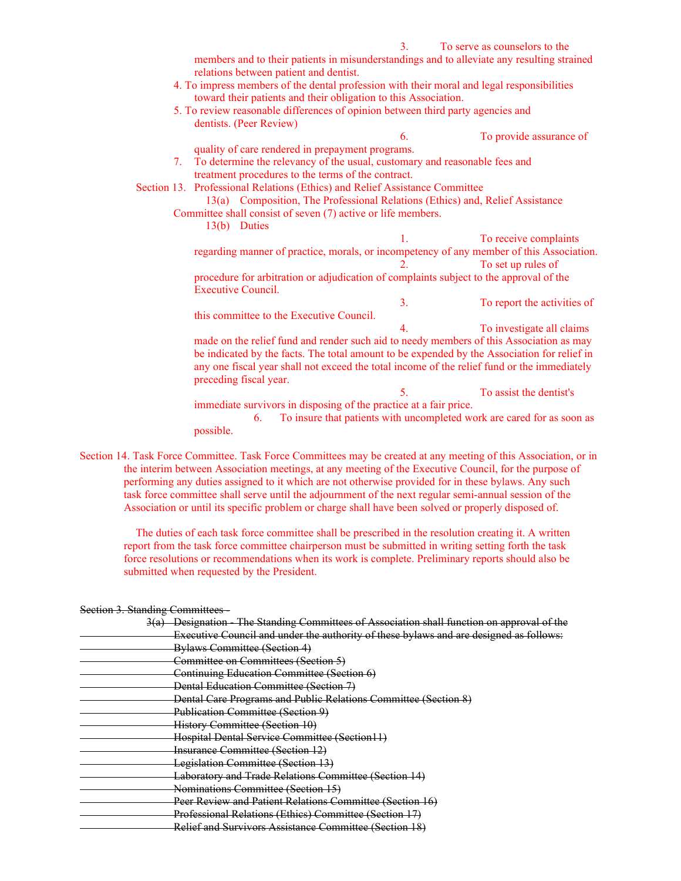|    |                         |                                                                             | 3. | To serve as counselors to the                                                               |  |
|----|-------------------------|-----------------------------------------------------------------------------|----|---------------------------------------------------------------------------------------------|--|
|    |                         | relations between patient and dentist.                                      |    | members and to their patients in misunderstandings and to alleviate any resulting strained  |  |
|    |                         |                                                                             |    | 4. To impress members of the dental profession with their moral and legal responsibilities  |  |
|    |                         | toward their patients and their obligation to this Association.             |    |                                                                                             |  |
|    |                         |                                                                             |    | 5. To review reasonable differences of opinion between third party agencies and             |  |
|    | dentists. (Peer Review) |                                                                             |    |                                                                                             |  |
|    |                         |                                                                             | 6. | To provide assurance of                                                                     |  |
|    |                         |                                                                             |    |                                                                                             |  |
|    |                         | quality of care rendered in prepayment programs.                            |    |                                                                                             |  |
| 7. |                         |                                                                             |    | To determine the relevancy of the usual, customary and reasonable fees and                  |  |
|    |                         | treatment procedures to the terms of the contract.                          |    |                                                                                             |  |
|    |                         | Section 13. Professional Relations (Ethics) and Relief Assistance Committee |    |                                                                                             |  |
|    |                         |                                                                             |    | 13(a) Composition, The Professional Relations (Ethics) and, Relief Assistance               |  |
|    |                         | Committee shall consist of seven (7) active or life members.                |    |                                                                                             |  |
|    | 13(b) Duties            |                                                                             |    |                                                                                             |  |
|    |                         |                                                                             | 1. | To receive complaints                                                                       |  |
|    |                         |                                                                             |    | regarding manner of practice, morals, or incompetency of any member of this Association.    |  |
|    |                         |                                                                             | 2. | To set up rules of                                                                          |  |
|    |                         |                                                                             |    | procedure for arbitration or adjudication of complaints subject to the approval of the      |  |
|    | Executive Council.      |                                                                             |    |                                                                                             |  |
|    |                         |                                                                             | 3. | To report the activities of                                                                 |  |
|    |                         | this committee to the Executive Council.                                    |    |                                                                                             |  |
|    |                         |                                                                             | 4. | To investigate all claims                                                                   |  |
|    |                         |                                                                             |    | made on the relief fund and render such aid to needy members of this Association as may     |  |
|    |                         |                                                                             |    |                                                                                             |  |
|    |                         |                                                                             |    | be indicated by the facts. The total amount to be expended by the Association for relief in |  |
|    |                         |                                                                             |    | any one fiscal year shall not exceed the total income of the relief fund or the immediately |  |
|    | preceding fiscal year.  |                                                                             |    |                                                                                             |  |
|    |                         |                                                                             | 5. | To assist the dentist's                                                                     |  |
|    |                         | immediate survivors in disposing of the practice at a fair price.           |    |                                                                                             |  |
|    | 6.                      |                                                                             |    | To insure that patients with uncompleted work are cared for as soon as                      |  |
|    | possible.               |                                                                             |    |                                                                                             |  |

Section 14. Task Force Committee. Task Force Committees may be created at any meeting of this Association, or in the interim between Association meetings, at any meeting of the Executive Council, for the purpose of performing any duties assigned to it which are not otherwise provided for in these bylaws. Any such task force committee shall serve until the adjournment of the next regular semi-annual session of the Association or until its specific problem or charge shall have been solved or properly disposed of.

 The duties of each task force committee shall be prescribed in the resolution creating it. A written report from the task force committee chairperson must be submitted in writing setting forth the task force resolutions or recommendations when its work is complete. Preliminary reports should also be submitted when requested by the President.

| <del>occuon <i>s</i>. otanumg commutees</del>                                             |
|-------------------------------------------------------------------------------------------|
| 3(a) Designation The Standing Committees of Association shall function on approval of the |
| Executive Council and under the authority of these bylaws and are designed as follows:    |
| Bylaws Committee (Section 4)                                                              |
| Committee on Committees (Section 5)                                                       |
| Continuing Education Committee (Section 6)                                                |
| Dental Education Committee (Section 7)                                                    |
| Dental Care Programs and Public Relations Committee (Section 8)                           |
| Publication Committee (Section 9)                                                         |
| History Committee (Section 10)                                                            |
| Hospital Dental Service Committee (Section11)                                             |
| <b>Insurance Committee (Section 12)</b>                                                   |
| Legislation Committee (Section 13)                                                        |
| Laboratory and Trade Relations Committee (Section 14)                                     |
| Nominations Committee (Section 15)                                                        |
| Peer Review and Patient Relations Committee (Section 16)                                  |
| Professional Relations (Ethics) Committee (Section 17)                                    |
| Relief and Survivors Assistance Committee (Section 18)                                    |

# Section 3. Standing Committees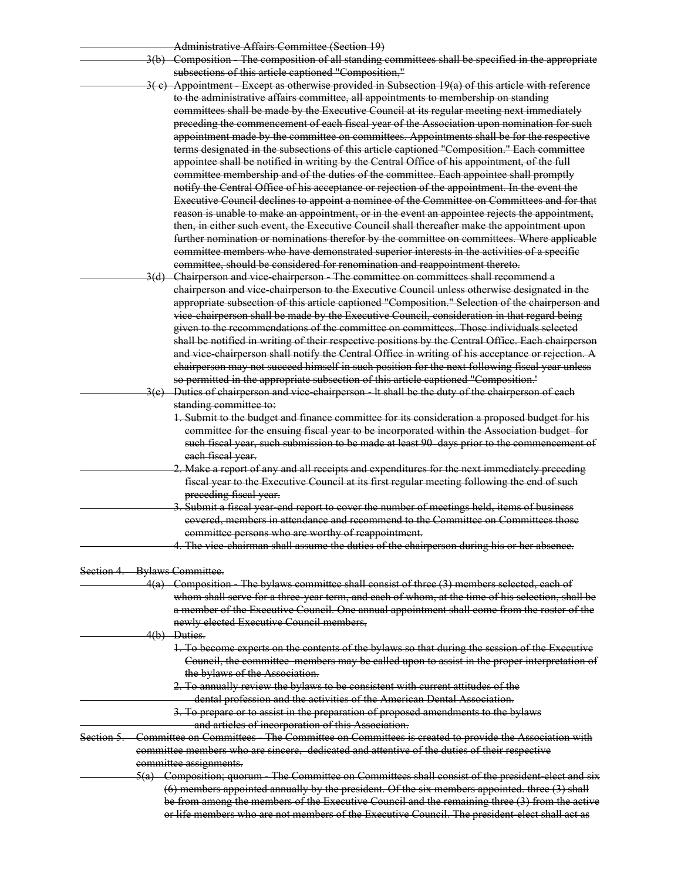| Administrative Affairs Committee (Section 10)    |  |
|--------------------------------------------------|--|
| <u> Auhannouau ve Anano Comanuel Ibecuon 171</u> |  |

- 3(b) Composition The composition of all standing committees shall be specified in the appropriate subsections of this article captioned "Composition,"
- Appointment Except as otherwise provided in Subsection 19(a) of this article with reference to the administrative affairs committee, all appointments to membership on standing committees shall be made by the Executive Council at its regular meeting next immediately preceding the commencement of each fiscal year of the Association upon nomination for such appointment made by the committee on committees. Appointments shall be for the respective terms designated in the subsections of this article captioned "Composition." Each committee appointee shall be notified in writing by the Central Office of his appointment, of the full committee membership and of the duties of the committee. Each appointee shall promptly notify the Central Office of his acceptance or rejection of the appointment. In the event the Executive Council declines to appoint a nominee of the Committee on Committees and for that reason is unable to make an appointment, or in the event an appointee rejects the appointment, then, in either such event, the Executive Council shall thereafter make the appointment upon further nomination or nominations therefor by the committee on committees. Where applicable committee members who have demonstrated superior interests in the activities of a specific committee, should be considered for renomination and reappointment thereto.

 3(d) Chairperson and vice-chairperson - The committee on committees shall recommend a chairperson and vice-chairperson to the Executive Council unless otherwise designated in the appropriate subsection of this article captioned "Composition." Selection of the chairperson and vice-chairperson shall be made by the Executive Council, consideration in that regard being given to the recommendations of the committee on committees. Those individuals selected shall be notified in writing of their respective positions by the Central Office. Each chairperson and vice-chairperson shall notify the Central Office in writing of his acceptance or rejection. A chairperson may not succeed himself in such position for the next following fiscal year unless so permitted in the appropriate subsection of this article captioned "Composition.'

Duties of chairperson and vice-chairperson - It shall be the duty of the chairperson of each standing committee to:

1. Submit to the budget and finance committee for its consideration a proposed budget for his committee for the ensuing fiscal year to be incorporated within the Association budget for such fiscal year, such submission to be made at least 90 days prior to the commencement of each fiscal year.

- 2. Make a report of any and all receipts and expenditures for the next immediately preceding fiscal year to the Executive Council at its first regular meeting following the end of such preceding fiscal year.
- Submit a fiscal year-end report to cover the number of meetings held, items of business covered, members in attendance and recommend to the Committee on Committees those committee persons who are worthy of reappointment.
	- 4. The vice-chairman shall assume the duties of the chairperson during his or her absence.

#### Section 4. Bylaws Committee.

 4(a) Composition - The bylaws committee shall consist of three (3) members selected, each of whom shall serve for a three-year term, and each of whom, at the time of his selection, shall be a member of the Executive Council. One annual appointment shall come from the roster of the newly elected Executive Council members, 4(b) Duties. 1. To become experts on the contents of the bylaws so that during the session of the Executive Council, the committee members may be called upon to assist in the proper interpretation of the bylaws of the Association. 2. To annually review the bylaws to be consistent with current attitudes of the dental profession and the activities of the American Dental Association. 3. To prepare or to assist in the preparation of proposed amendments to the bylaws and articles of incorporation of this Association. Section 5. Committee on Committees - The Committee on Committees is created to provide the Association with committee members who are sincere, dedicated and attentive of the duties of their respective committee assignments. 5(a) Composition; quorum - The Committee on Committees shall consist of the president-elect and six (6) members appointed annually by the president. Of the six members appointed. three (3) shall be from among the members of the Executive Council and the remaining three (3) from the active or life members who are not members of the Executive Council. The president-elect shall act as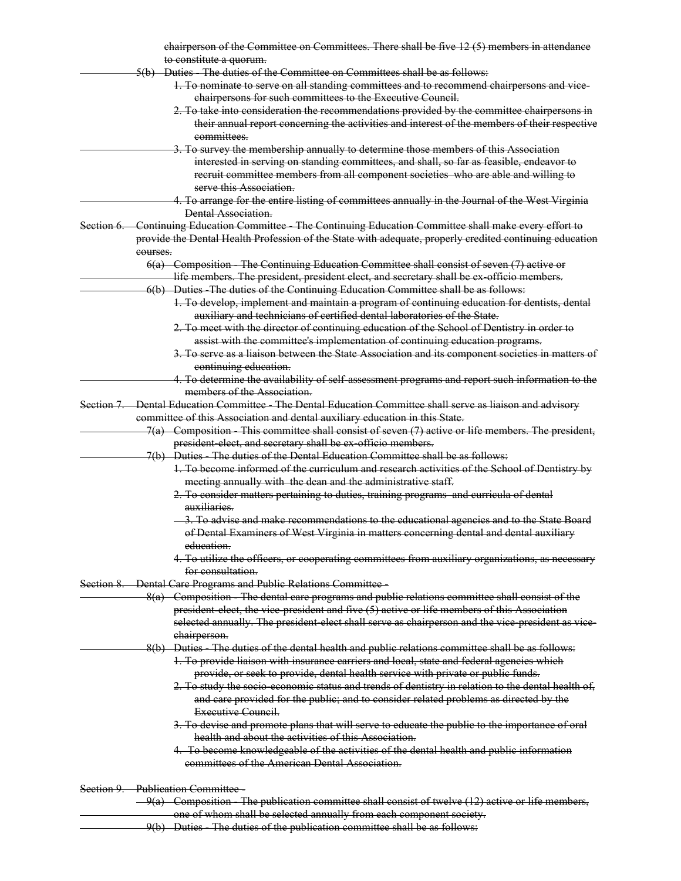| chairperson of the Committee on Committees. There shall be five 12 (5) members in attendance                           |
|------------------------------------------------------------------------------------------------------------------------|
| to constitute a quorum.                                                                                                |
| 5(b) Duties The duties of the Committee on Committees shall be as follows:                                             |
| 1. To nominate to serve on all standing committees and to recommend chairpersons and vice-                             |
| chairpersons for such committees to the Executive Council.                                                             |
| 2. To take into consideration the recommendations provided by the committee chairpersons in                            |
| their annual report concerning the activities and interest of the members of their respective                          |
| committees.                                                                                                            |
| 3. To survey the membership annually to determine those members of this Association                                    |
| interested in serving on standing committees, and shall, so far as feasible, endeavor to                               |
| recruit committee members from all component societies who are able and willing to                                     |
| serve this Association.                                                                                                |
|                                                                                                                        |
| 4. To arrange for the entire listing of committees annually in the Journal of the West Virginia<br>Dental Association. |
|                                                                                                                        |
| Section 6. Continuing Education Committee The Continuing Education Committee shall make every effort to                |
| provide the Dental Health Profession of the State with adequate, properly credited continuing education                |
| courses.                                                                                                               |
| 6(a) Composition The Continuing Education Committee shall consist of seven (7) active or                               |
| life members. The president, president elect, and secretary shall be ex officio members.                               |
| 6(b) Duties The duties of the Continuing Education Committee shall be as follows:                                      |
| 1. To develop, implement and maintain a program of continuing education for dentists, dental                           |
| auxiliary and technicians of certified dental laboratories of the State.                                               |
| 2. To meet with the director of continuing education of the School of Dentistry in order to                            |
| assist with the committee's implementation of continuing education programs.                                           |
| 3. To serve as a liaison between the State Association and its component societies in matters of                       |
| continuing education.                                                                                                  |
| 4. To determine the availability of self assessment programs and report such information to the                        |
| members of the Association.                                                                                            |
| Section 7. Dental Education Committee - The Dental Education Committee shall serve as liaison and advisory             |
| committee of this Association and dental auxiliary education in this State.                                            |
| 7(a) Composition This committee shall consist of seven (7) active or life members. The president,                      |
| president elect, and secretary shall be ex officio members.                                                            |
| 7(b) Duties The duties of the Dental Education Committee shall be as follows:                                          |
|                                                                                                                        |
| 1. To become informed of the curriculum and research activities of the School of Dentistry by                          |
| meeting annually with the dean and the administrative staff.                                                           |
| 2. To consider matters pertaining to duties, training programs and curricula of dental                                 |
| auxiliaries.                                                                                                           |
| -3. To advise and make recommendations to the educational agencies and to the State Board                              |
| of Dental Examiners of West Virginia in matters concerning dental and dental auxiliary                                 |
| education.                                                                                                             |
| 4. To utilize the officers, or cooperating committees from auxiliary organizations, as necessary                       |
| for consultation.                                                                                                      |
| Section 8. Dental Care Programs and Public Relations Committee-                                                        |
| 8(a) Composition The dental care programs and public relations committee shall consist of the                          |
| president elect, the vice president and five (5) active or life members of this Association                            |
| selected annually. The president elect shall serve as chairperson and the vice president as vice-                      |
| chairperson.                                                                                                           |
| 8(b) Duties The duties of the dental health and public relations committee shall be as follows:                        |
| 1. To provide liaison with insurance carriers and local, state and federal agencies which                              |
| provide, or seek to provide, dental health service with private or public funds.                                       |
| 2. To study the socio economic status and trends of dentistry in relation to the dental health of,                     |
| and care provided for the public; and to consider related problems as directed by the                                  |
| Executive Council.                                                                                                     |
| 3. To devise and promote plans that will serve to educate the public to the importance of oral                         |
| health and about the activities of this Association.                                                                   |
|                                                                                                                        |
| 4. To become knowledgeable of the activities of the dental health and public information                               |
| committees of the American Dental Association.                                                                         |
|                                                                                                                        |
| Section 9. Publication Committee -                                                                                     |
| $-9(a)$ Composition The publication committee shall consist of twelve (12) active or life members,                     |
| one of whom shall be selected annually from each component society.                                                    |

9(b) Duties The duties of the publication committee shall be as follows: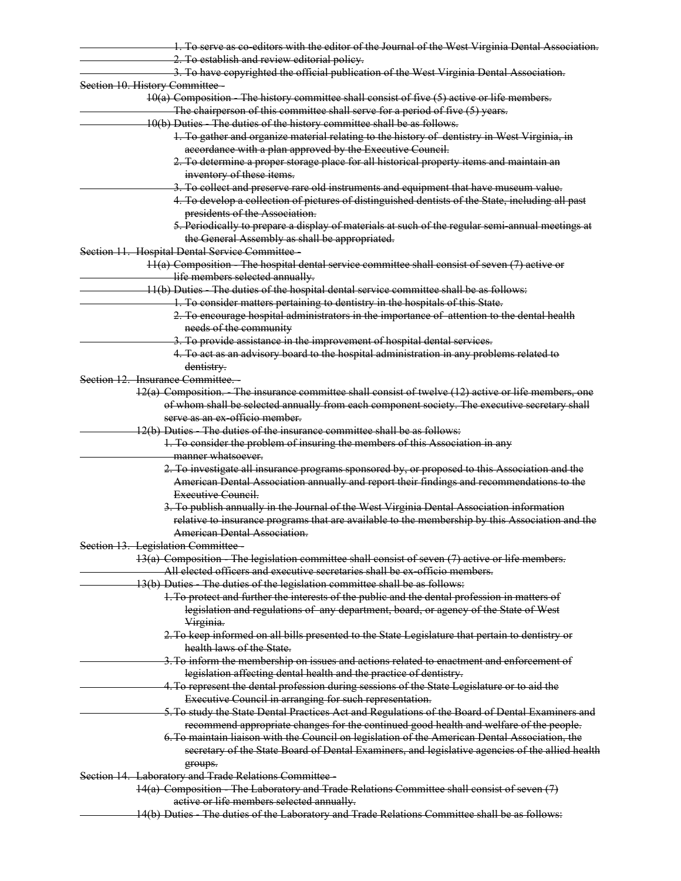| 1. To serve as co-editors with the editor of the Journal of the West Virginia Dental Association.                                                                                           |
|---------------------------------------------------------------------------------------------------------------------------------------------------------------------------------------------|
| 2. To establish and review editorial policy.                                                                                                                                                |
| 3. To have copyrighted the official publication of the West Virginia Dental Association.                                                                                                    |
| Section 10. History Committee-                                                                                                                                                              |
| 10(a) Composition - The history committee shall consist of five (5) active or life members.                                                                                                 |
| The chairperson of this committee shall serve for a period of five (5) years.                                                                                                               |
| 10(b) Duties The duties of the history committee shall be as follows.                                                                                                                       |
| 1. To gather and organize material relating to the history of dentistry in West Virginia, in                                                                                                |
| accordance with a plan approved by the Executive Council.                                                                                                                                   |
| 2. To determine a proper storage place for all historical property items and maintain an                                                                                                    |
| inventory of these items.                                                                                                                                                                   |
| 3. To collect and preserve rare old instruments and equipment that have museum value.                                                                                                       |
| 4. To develop a collection of pictures of distinguished dentists of the State, including all past                                                                                           |
| presidents of the Association.                                                                                                                                                              |
| 5. Periodically to prepare a display of materials at such of the regular semi-annual meetings at                                                                                            |
| the General Assembly as shall be appropriated.                                                                                                                                              |
| Section 11. Hospital Dental Service Committee -                                                                                                                                             |
| $11(a)$ Composition The hospital dental service committee shall consist of seven $(7)$ active or                                                                                            |
| life members selected annually.                                                                                                                                                             |
| 11(b) Duties The duties of the hospital dental service committee shall be as follows:                                                                                                       |
| 1. To consider matters pertaining to dentistry in the hospitals of this State.                                                                                                              |
| 2. To encourage hospital administrators in the importance of attention to the dental health                                                                                                 |
| needs of the community                                                                                                                                                                      |
| 3. To provide assistance in the improvement of hospital dental services.                                                                                                                    |
| 4. To act as an advisory board to the hospital administration in any problems related to                                                                                                    |
| dentistry.                                                                                                                                                                                  |
| Section 12. Insurance Committee.                                                                                                                                                            |
| 12(a) Composition. The insurance committee shall consist of twelve (12) active or life members, one                                                                                         |
| of whom shall be selected annually from each component society. The executive secretary shall                                                                                               |
| serve as an ex-officio member.                                                                                                                                                              |
| 12(b) Duties The duties of the insurance committee shall be as follows:                                                                                                                     |
| 1. To consider the problem of insuring the members of this Association in any                                                                                                               |
| manner whatsoever.                                                                                                                                                                          |
|                                                                                                                                                                                             |
| 2. To investigate all insurance programs sponsored by, or proposed to this Association and the<br>American Dental Association annually and report their findings and recommendations to the |
| Executive Council.                                                                                                                                                                          |
|                                                                                                                                                                                             |
| 3. To publish annually in the Journal of the West Virginia Dental Association information                                                                                                   |
| relative to insurance programs that are available to the membership by this Association and the                                                                                             |
| American Dental Association.                                                                                                                                                                |
| Section 13. Legislation Committee-                                                                                                                                                          |
| $13(a)$ Composition - The legislation committee shall consist of seven (7) active or life members.                                                                                          |
| All elected officers and executive secretaries shall be ex-officio members.                                                                                                                 |
| 13(b) Duties The duties of the legislation committee shall be as follows:                                                                                                                   |
| 1. To protect and further the interests of the public and the dental profession in matters of                                                                                               |
| legislation and regulations of any department, board, or agency of the State of West                                                                                                        |
| Virginia.                                                                                                                                                                                   |
| 2. To keep informed on all bills presented to the State Legislature that pertain to dentistry or                                                                                            |
| health laws of the State.                                                                                                                                                                   |
| 3. To inform the membership on issues and actions related to enactment and enforcement of                                                                                                   |
| legislation affecting dental health and the practice of dentistry.                                                                                                                          |
| 4. To represent the dental profession during sessions of the State Legislature or to aid the                                                                                                |
| Executive Council in arranging for such representation.                                                                                                                                     |
| 5. To study the State Dental Practices Act and Regulations of the Board of Dental Examiners and                                                                                             |
| recommend appropriate changes for the continued good health and welfare of the people.                                                                                                      |
| 6. To maintain liaison with the Council on legislation of the American Dental Association, the                                                                                              |
| secretary of the State Board of Dental Examiners, and legislative agencies of the allied health                                                                                             |
| groups.                                                                                                                                                                                     |
| Section 14. Laboratory and Trade Relations Committee                                                                                                                                        |
| 14(a) Composition - The Laboratory and Trade Relations Committee shall consist of seven (7)                                                                                                 |
| active or life members selected annually.                                                                                                                                                   |
| 14(b) Duties The duties of the Laboratory and Trade Relations Committee shall be as follows:                                                                                                |
|                                                                                                                                                                                             |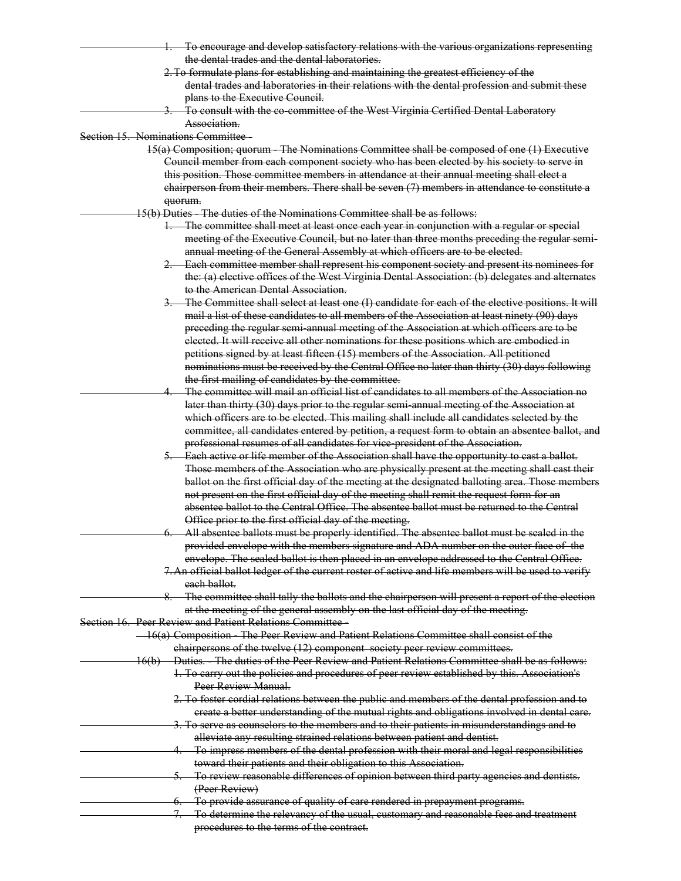|                                   | 1. To encourage and develop satisfactory relations with the various organizations representing       |
|-----------------------------------|------------------------------------------------------------------------------------------------------|
|                                   | the dental trades and the dental laboratories.                                                       |
|                                   |                                                                                                      |
|                                   | 2. To formulate plans for establishing and maintaining the greatest efficiency of the                |
|                                   | dental trades and laboratories in their relations with the dental profession and submit these        |
|                                   | plans to the Executive Council.                                                                      |
|                                   | 3. To consult with the co-committee of the West Virginia Certified Dental Laboratory                 |
|                                   | Association.                                                                                         |
| Section 15. Nominations Committee |                                                                                                      |
|                                   | 15(a) Composition; quorum The Nominations Committee shall be composed of one (1) Executive           |
|                                   | Council member from each component society who has been elected by his society to serve in           |
|                                   | this position. Those committee members in attendance at their annual meeting shall elect a           |
|                                   |                                                                                                      |
|                                   | $ehairperson from their members. There shall be seven (7) members in attendance to constitute a$     |
|                                   | quorum.                                                                                              |
|                                   | 15(b) Duties The duties of the Nominations Committee shall be as follows:                            |
|                                   | 1. The committee shall meet at least once each year in conjunction with a regular or special         |
|                                   | meeting of the Executive Council, but no later than three months preceding the regular semi-         |
|                                   | annual meeting of the General Assembly at which officers are to be elected.                          |
|                                   | 2. Each committee member shall represent his component society and present its nominees for          |
|                                   | the: (a) elective offices of the West Virginia Dental Association: (b) delegates and alternates      |
|                                   | to the American Dental Association.                                                                  |
|                                   |                                                                                                      |
|                                   | 3. The Committee shall select at least one (I) candidate for each of the elective positions. It will |
|                                   | mail a list of these candidates to all members of the Association at least ninety (90) days          |
|                                   | preceding the regular semi-annual meeting of the Association at which officers are to be             |
|                                   | elected. It will receive all other nominations for these positions which are embodied in             |
|                                   | petitions signed by at least fifteen (15) members of the Association. All petitioned                 |
|                                   | nominations must be received by the Central Office no later than thirty (30) days following          |
|                                   | the first mailing of candidates by the committee.                                                    |
|                                   | The committee will mail an official list of candidates to all members of the Association no          |
|                                   | later than thirty (30) days prior to the regular semi-annual meeting of the Association at           |
|                                   | which officers are to be elected. This mailing shall include all candidates selected by the          |
|                                   | committee, all candidates entered by petition, a request form to obtain an absentee ballot, and      |
|                                   | professional resumes of all candidates for vice president of the Association.                        |
|                                   |                                                                                                      |
|                                   | 5. Each active or life member of the Association shall have the opportunity to cast a ballot.        |
|                                   | Those members of the Association who are physically present at the meeting shall cast their          |
|                                   | ballot on the first official day of the meeting at the designated balloting area. Those members      |
|                                   | not present on the first official day of the meeting shall remit the request form for an             |
|                                   | absentee ballot to the Central Office. The absentee ballot must be returned to the Central           |
|                                   | Office prior to the first official day of the meeting.                                               |
|                                   | 6. All absentee ballots must be properly identified. The absentee ballot must be sealed in the       |
|                                   | provided envelope with the members signature and ADA number on the outer face of the                 |
|                                   | envelope. The sealed ballot is then placed in an envelope addressed to the Central Office.           |
|                                   | 7. An official ballot ledger of the current roster of active and life members will be used to verify |
|                                   | each ballot.                                                                                         |
|                                   |                                                                                                      |
|                                   | 8. The committee shall tally the ballots and the chairperson will present a report of the election   |
|                                   | at the meeting of the general assembly on the last official day of the meeting.                      |
|                                   | Section 16. Peer Review and Patient Relations Committee                                              |
|                                   | - 16(a) Composition - The Peer Review and Patient Relations Committee shall consist of the           |
|                                   | chairpersons of the twelve (12) component society peer review committees.                            |
|                                   | 16(b) Duties. The duties of the Peer Review and Patient Relations Committee shall be as follows:     |
|                                   | 1. To carry out the policies and procedures of peer review established by this. Association's        |
|                                   | Peer Review Manual.                                                                                  |
|                                   | 2. To foster cordial relations between the public and members of the dental profession and to        |
|                                   | ereate a better understanding of the mutual rights and obligations involved in dental care.          |
|                                   | 3. To serve as counselors to the members and to their patients in misunderstandings and to           |
|                                   | alleviate any resulting strained relations between patient and dentist.                              |
|                                   | 4. To impress members of the dental profession with their moral and legal responsibilities           |
|                                   | toward their patients and their obligation to this Association.                                      |
|                                   | 5. To review reasonable differences of opinion between third party agencies and dentists.            |
|                                   | (Peer Review)                                                                                        |
|                                   |                                                                                                      |
|                                   | 6. To provide assurance of quality of care rendered in prepayment programs.                          |
|                                   | To determine the relevancy of the usual, customary and reasonable fees and treatment                 |
|                                   | procedures to the terms of the contract.                                                             |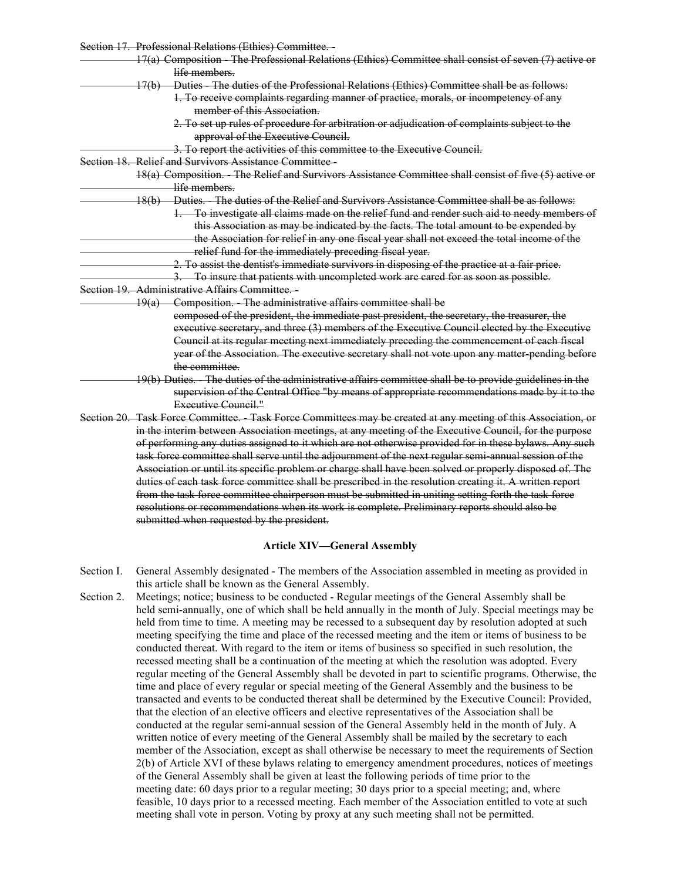| Section 17. Professional Relations (Ethics) Committee.                                                        |
|---------------------------------------------------------------------------------------------------------------|
| 17(a) Composition The Professional Relations (Ethics) Committee shall consist of seven (7) active or          |
| life members.                                                                                                 |
| 17(b) Duties The duties of the Professional Relations (Ethics) Committee shall be as follows:                 |
| 1. To receive complaints regarding manner of practice, morals, or incompetency of any                         |
| member of this Association.                                                                                   |
| 2. To set up rules of procedure for arbitration or adjudication of complaints subject to the                  |
| approval of the Executive Council.                                                                            |
| 3. To report the activities of this committee to the Executive Council.                                       |
| Section 18. Relief and Survivors Assistance Committee-                                                        |
| 18(a) Composition. - The Relief and Survivors Assistance Committee shall consist of five (5) active or        |
| life members.                                                                                                 |
| 18(b) Duties. The duties of the Relief and Survivors Assistance Committee shall be as follows:                |
| 1. To investigate all claims made on the relief fund and render such aid to needy members of                  |
| this Association as may be indicated by the facts. The total amount to be expended by                         |
| the Association for relief in any one fiscal year shall not exceed the total income of the                    |
| relief fund for the immediately preceding fiscal year.                                                        |
| 2. To assist the dentist's immediate survivors in disposing of the practice at a fair price.                  |
| 3. To insure that patients with uncompleted work are cared for as soon as possible.                           |
| Section 19. Administrative Affairs Committee.                                                                 |
| 19(a) Composition. The administrative affairs committee shall be                                              |
| composed of the president, the immediate past president, the secretary, the treasurer, the                    |
| executive secretary, and three (3) members of the Executive Council elected by the Executive                  |
| Council at its regular meeting next immediately preceding the commencement of each fiscal                     |
| year of the Association. The executive secretary shall not vote upon any matter pending before                |
| the committee.                                                                                                |
| 19(b) Duties. The duties of the administrative affairs committee shall be to provide guidelines in the        |
| supervision of the Central Office "by means of appropriate recommendations made by it to the                  |
| Executive Council."                                                                                           |
| Section 20. Task Force Committee. Task Force Committees may be created at any meeting of this Association, or |
| in the interim between Association meetings, at any meeting of the Executive Council, for the purpose         |
| of performing any duties assigned to it which are not otherwise provided for in these bylaws. Any such        |
| task force committee shall serve until the adjournment of the next regular semi annual session of the         |
| Association or until its specific problem or charge shall have been solved or properly disposed of. The       |
| duties of each task force committee shall be prescribed in the resolution creating it. A written report       |
| from the task force committee chairperson must be submitted in uniting setting forth the task force           |
| resolutions or recommendations when its work is complete. Preliminary reports should also be                  |
| submitted when requested by the president.                                                                    |
|                                                                                                               |
| <b>Article XIV-General Assembly</b>                                                                           |

- Section I. General Assembly designated The members of the Association assembled in meeting as provided in this article shall be known as the General Assembly.
- Section 2. Meetings; notice; business to be conducted Regular meetings of the General Assembly shall be held semi-annually, one of which shall be held annually in the month of July. Special meetings may be held from time to time. A meeting may be recessed to a subsequent day by resolution adopted at such meeting specifying the time and place of the recessed meeting and the item or items of business to be conducted thereat. With regard to the item or items of business so specified in such resolution, the recessed meeting shall be a continuation of the meeting at which the resolution was adopted. Every regular meeting of the General Assembly shall be devoted in part to scientific programs. Otherwise, the time and place of every regular or special meeting of the General Assembly and the business to be transacted and events to be conducted thereat shall be determined by the Executive Council: Provided, that the election of an elective officers and elective representatives of the Association shall be conducted at the regular semi-annual session of the General Assembly held in the month of July. A written notice of every meeting of the General Assembly shall be mailed by the secretary to each member of the Association, except as shall otherwise be necessary to meet the requirements of Section 2(b) of Article XVI of these bylaws relating to emergency amendment procedures, notices of meetings of the General Assembly shall be given at least the following periods of time prior to the meeting date: 60 days prior to a regular meeting; 30 days prior to a special meeting; and, where feasible, 10 days prior to a recessed meeting. Each member of the Association entitled to vote at such meeting shall vote in person. Voting by proxy at any such meeting shall not be permitted.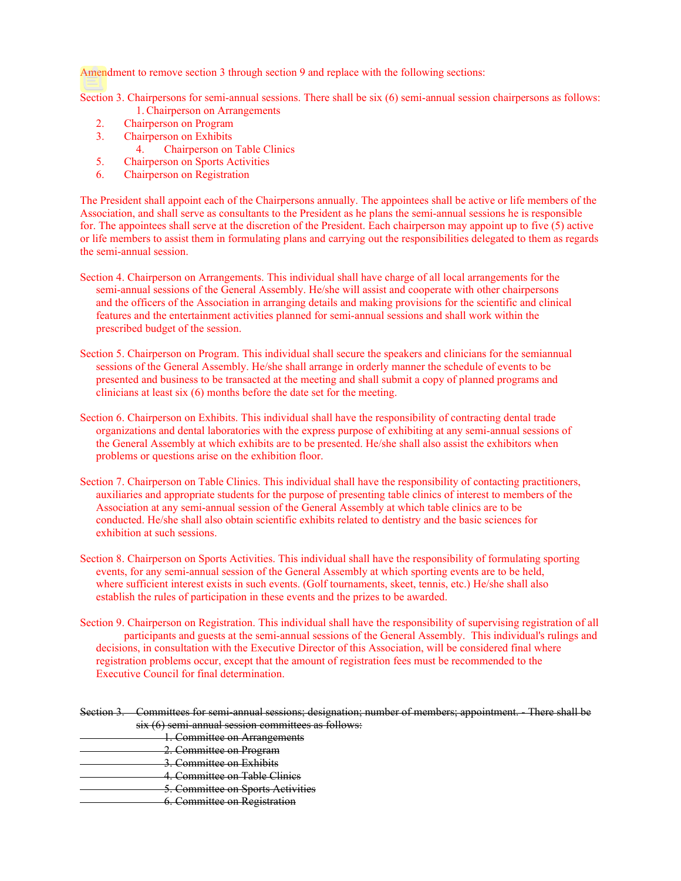Amendment to remove section 3 through section 9 and replace with the following sections:

Section 3. Chairpersons for semi-annual sessions. There shall be six (6) semi-annual session chairpersons as follows: 1. Chairperson on Arrangements

- 2. Chairperson on Program
- 3. Chairperson on Exhibits
	- 4. Chairperson on Table Clinics
- 5. Chairperson on Sports Activities
- 6. Chairperson on Registration

The President shall appoint each of the Chairpersons annually. The appointees shall be active or life members of the Association, and shall serve as consultants to the President as he plans the semi-annual sessions he is responsible for. The appointees shall serve at the discretion of the President. Each chairperson may appoint up to five (5) active or life members to assist them in formulating plans and carrying out the responsibilities delegated to them as regards the semi-annual session.

- Section 4. Chairperson on Arrangements. This individual shall have charge of all local arrangements for the semi-annual sessions of the General Assembly. He/she will assist and cooperate with other chairpersons and the officers of the Association in arranging details and making provisions for the scientific and clinical features and the entertainment activities planned for semi-annual sessions and shall work within the prescribed budget of the session.
- Section 5. Chairperson on Program. This individual shall secure the speakers and clinicians for the semiannual sessions of the General Assembly. He/she shall arrange in orderly manner the schedule of events to be presented and business to be transacted at the meeting and shall submit a copy of planned programs and clinicians at least six (6) months before the date set for the meeting.
- Section 6. Chairperson on Exhibits. This individual shall have the responsibility of contracting dental trade organizations and dental laboratories with the express purpose of exhibiting at any semi-annual sessions of the General Assembly at which exhibits are to be presented. He/she shall also assist the exhibitors when problems or questions arise on the exhibition floor.
- Section 7. Chairperson on Table Clinics. This individual shall have the responsibility of contacting practitioners, auxiliaries and appropriate students for the purpose of presenting table clinics of interest to members of the Association at any semi-annual session of the General Assembly at which table clinics are to be conducted. He/she shall also obtain scientific exhibits related to dentistry and the basic sciences for exhibition at such sessions.
- Section 8. Chairperson on Sports Activities. This individual shall have the responsibility of formulating sporting events, for any semi-annual session of the General Assembly at which sporting events are to be held, where sufficient interest exists in such events. (Golf tournaments, skeet, tennis, etc.) He/she shall also establish the rules of participation in these events and the prizes to be awarded.
- Section 9. Chairperson on Registration. This individual shall have the responsibility of supervising registration of all participants and guests at the semi-annual sessions of the General Assembly. This individual's rulings and decisions, in consultation with the Executive Director of this Association, will be considered final where registration problems occur, except that the amount of registration fees must be recommended to the Executive Council for final determination.

# Section 3. Committees for semi-annual sessions; designation; number of members; appointment. - There shall be six (6) semi-annual session committees as follows:

- 1. Committee on Arrangements
- 2. Committee on Program
- 3. Committee on Exhibits
- 4. Committee on Table Clinics
- 5. Committee on Sports Activities
- 6. Committee on Registration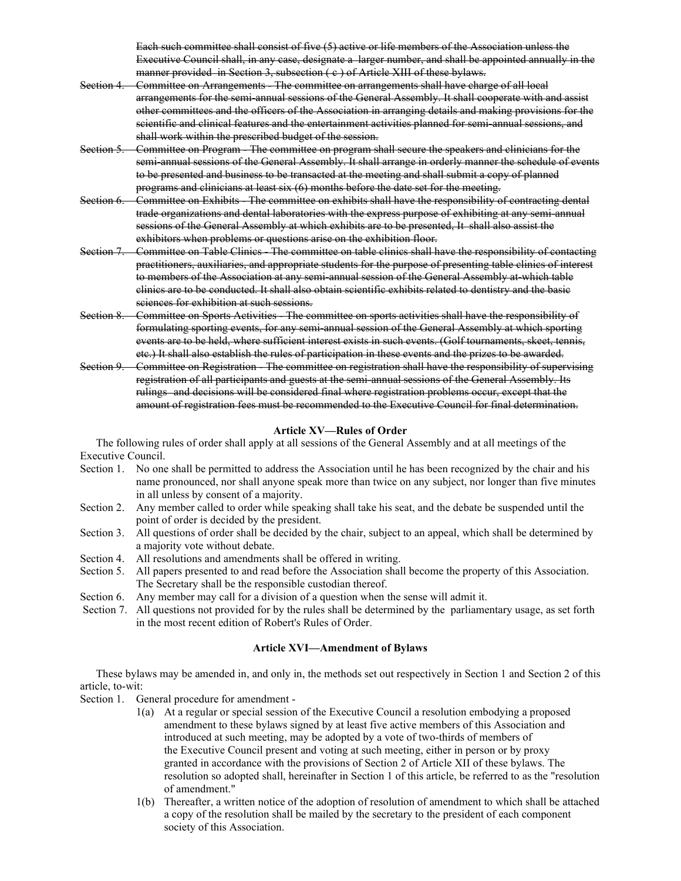Each such committee shall consist of five (5) active or life members of the Association unless the Executive Council shall, in any case, designate a larger number, and shall be appointed annually in the manner provided in Section 3, subsection (c) of Article XIII of these bylaws.

- Section 4. Committee on Arrangements The committee on arrangements shall have charge of all local arrangements for the semi-annual sessions of the General Assembly. It shall cooperate with and assist other committees and the officers of the Association in arranging details and making provisions for the scientific and clinical features and the entertainment activities planned for semi-annual sessions, and shall work within the prescribed budget of the session.
- Section 5. Committee on Program The committee on program shall secure the speakers and clinicians for the semi-annual sessions of the General Assembly. It shall arrange in orderly manner the schedule of events to be presented and business to be transacted at the meeting and shall submit a copy of planned programs and clinicians at least six (6) months before the date set for the meeting.
- Section 6. Committee on Exhibits The committee on exhibits shall have the responsibility of contracting dental trade organizations and dental laboratories with the express purpose of exhibiting at any semi-annual sessions of the General Assembly at which exhibits are to be presented, It shall also assist the exhibitors when problems or questions arise on the exhibition floor.
- Section 7. Committee on Table Clinics The committee on table clinics shall have the responsibility of contacting practitioners, auxiliaries, and appropriate students for the purpose of presenting table clinics of interest to members of the Association at any semi-annual session of the General Assembly at which table clinics are to be conducted. It shall also obtain scientific exhibits related to dentistry and the basic sciences for exhibition at such sessions.
- Section 8. Committee on Sports Activities The committee on sports activities shall have the responsibility of formulating sporting events, for any semi-annual session of the General Assembly at which sporting events are to be held, where sufficient interest exists in such events. (Golf tournaments, skeet, tennis, etc.) It shall also establish the rules of participation in these events and the prizes to be awarded.
- Section 9. Committee on Registration The committee on registration shall have the responsibility of supervising registration of all participants and guests at the semi-annual sessions of the General Assembly. Its rulings and decisions will be considered final where registration problems occur, except that the amount of registration fees must be recommended to the Executive Council for final determination.

## **Article XV—Rules of Order**

The following rules of order shall apply at all sessions of the General Assembly and at all meetings of the Executive Council.

- Section 1. No one shall be permitted to address the Association until he has been recognized by the chair and his name pronounced, nor shall anyone speak more than twice on any subject, nor longer than five minutes in all unless by consent of a majority.
- Section 2. Any member called to order while speaking shall take his seat, and the debate be suspended until the point of order is decided by the president.
- Section 3. All questions of order shall be decided by the chair, subject to an appeal, which shall be determined by a majority vote without debate.
- Section 4. All resolutions and amendments shall be offered in writing.
- Section 5. All papers presented to and read before the Association shall become the property of this Association. The Secretary shall be the responsible custodian thereof.
- Section 6. Any member may call for a division of a question when the sense will admit it.
- Section 7. All questions not provided for by the rules shall be determined by the parliamentary usage, as set forth in the most recent edition of Robert's Rules of Order.

#### **Article XVI—Amendment of Bylaws**

These bylaws may be amended in, and only in, the methods set out respectively in Section 1 and Section 2 of this article, to-wit:

- Section 1. General procedure for amendment
	- 1(a) At a regular or special session of the Executive Council a resolution embodying a proposed amendment to these bylaws signed by at least five active members of this Association and introduced at such meeting, may be adopted by a vote of two-thirds of members of the Executive Council present and voting at such meeting, either in person or by proxy granted in accordance with the provisions of Section 2 of Article XII of these bylaws. The resolution so adopted shall, hereinafter in Section 1 of this article, be referred to as the "resolution of amendment."
	- 1(b) Thereafter, a written notice of the adoption of resolution of amendment to which shall be attached a copy of the resolution shall be mailed by the secretary to the president of each component society of this Association.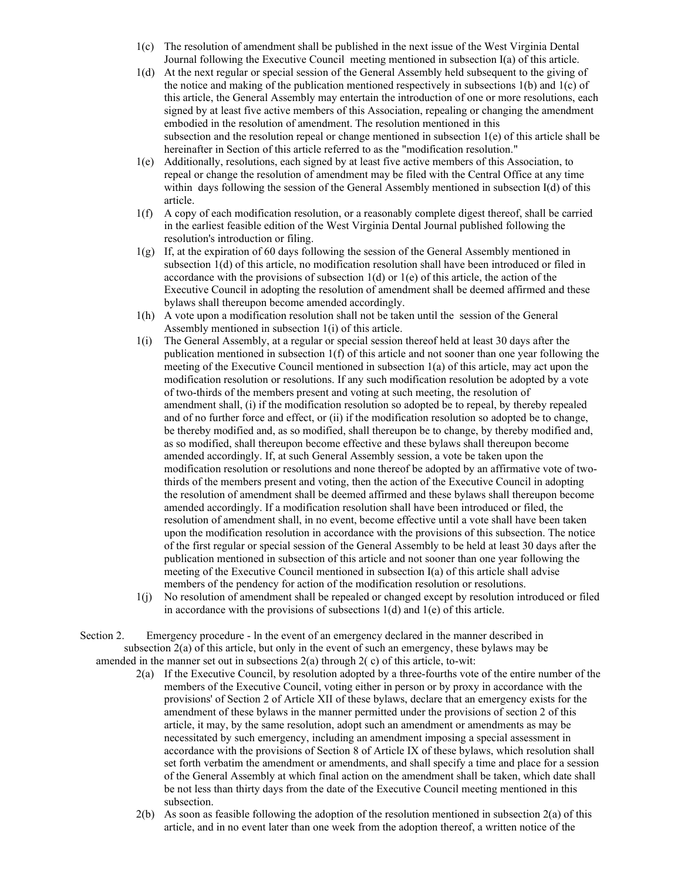- 1(c) The resolution of amendment shall be published in the next issue of the West Virginia Dental Journal following the Executive Council meeting mentioned in subsection I(a) of this article.
- 1(d) At the next regular or special session of the General Assembly held subsequent to the giving of the notice and making of the publication mentioned respectively in subsections  $1(b)$  and  $1(c)$  of this article, the General Assembly may entertain the introduction of one or more resolutions, each signed by at least five active members of this Association, repealing or changing the amendment embodied in the resolution of amendment. The resolution mentioned in this subsection and the resolution repeal or change mentioned in subsection 1(e) of this article shall be hereinafter in Section of this article referred to as the "modification resolution."
- 1(e) Additionally, resolutions, each signed by at least five active members of this Association, to repeal or change the resolution of amendment may be filed with the Central Office at any time within days following the session of the General Assembly mentioned in subsection I(d) of this article.
- 1(f) A copy of each modification resolution, or a reasonably complete digest thereof, shall be carried in the earliest feasible edition of the West Virginia Dental Journal published following the resolution's introduction or filing.
- 1(g) If, at the expiration of 60 days following the session of the General Assembly mentioned in subsection 1(d) of this article, no modification resolution shall have been introduced or filed in accordance with the provisions of subsection  $1(d)$  or  $1(e)$  of this article, the action of the Executive Council in adopting the resolution of amendment shall be deemed affirmed and these bylaws shall thereupon become amended accordingly.
- 1(h) A vote upon a modification resolution shall not be taken until the session of the General Assembly mentioned in subsection 1(i) of this article.
- 1(i) The General Assembly, at a regular or special session thereof held at least 30 days after the publication mentioned in subsection 1(f) of this article and not sooner than one year following the meeting of the Executive Council mentioned in subsection 1(a) of this article, may act upon the modification resolution or resolutions. If any such modification resolution be adopted by a vote of two-thirds of the members present and voting at such meeting, the resolution of amendment shall, (i) if the modification resolution so adopted be to repeal, by thereby repealed and of no further force and effect, or (ii) if the modification resolution so adopted be to change, be thereby modified and, as so modified, shall thereupon be to change, by thereby modified and, as so modified, shall thereupon become effective and these bylaws shall thereupon become amended accordingly. If, at such General Assembly session, a vote be taken upon the modification resolution or resolutions and none thereof be adopted by an affirmative vote of twothirds of the members present and voting, then the action of the Executive Council in adopting the resolution of amendment shall be deemed affirmed and these bylaws shall thereupon become amended accordingly. If a modification resolution shall have been introduced or filed, the resolution of amendment shall, in no event, become effective until a vote shall have been taken upon the modification resolution in accordance with the provisions of this subsection. The notice of the first regular or special session of the General Assembly to be held at least 30 days after the publication mentioned in subsection of this article and not sooner than one year following the meeting of the Executive Council mentioned in subsection I(a) of this article shall advise members of the pendency for action of the modification resolution or resolutions.
- 1(j) No resolution of amendment shall be repealed or changed except by resolution introduced or filed in accordance with the provisions of subsections 1(d) and 1(e) of this article.
- Section 2. Emergency procedure ln the event of an emergency declared in the manner described in subsection 2(a) of this article, but only in the event of such an emergency, these bylaws may be amended in the manner set out in subsections  $2(a)$  through  $2(c)$  of this article, to-wit:
	- 2(a) If the Executive Council, by resolution adopted by a three-fourths vote of the entire number of the members of the Executive Council, voting either in person or by proxy in accordance with the provisions' of Section 2 of Article XII of these bylaws, declare that an emergency exists for the amendment of these bylaws in the manner permitted under the provisions of section 2 of this article, it may, by the same resolution, adopt such an amendment or amendments as may be necessitated by such emergency, including an amendment imposing a special assessment in accordance with the provisions of Section 8 of Article IX of these bylaws, which resolution shall set forth verbatim the amendment or amendments, and shall specify a time and place for a session of the General Assembly at which final action on the amendment shall be taken, which date shall be not less than thirty days from the date of the Executive Council meeting mentioned in this subsection.
	- 2(b) As soon as feasible following the adoption of the resolution mentioned in subsection 2(a) of this article, and in no event later than one week from the adoption thereof, a written notice of the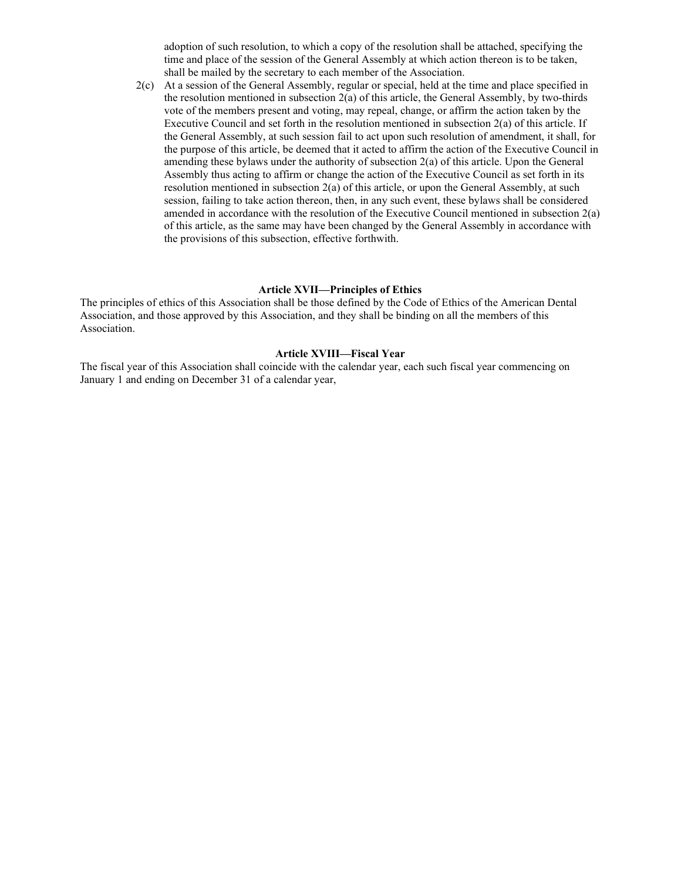adoption of such resolution, to which a copy of the resolution shall be attached, specifying the time and place of the session of the General Assembly at which action thereon is to be taken, shall be mailed by the secretary to each member of the Association.

2(c) At a session of the General Assembly, regular or special, held at the time and place specified in the resolution mentioned in subsection 2(a) of this article, the General Assembly, by two-thirds vote of the members present and voting, may repeal, change, or affirm the action taken by the Executive Council and set forth in the resolution mentioned in subsection 2(a) of this article. If the General Assembly, at such session fail to act upon such resolution of amendment, it shall, for the purpose of this article, be deemed that it acted to affirm the action of the Executive Council in amending these bylaws under the authority of subsection 2(a) of this article. Upon the General Assembly thus acting to affirm or change the action of the Executive Council as set forth in its resolution mentioned in subsection  $2(a)$  of this article, or upon the General Assembly, at such session, failing to take action thereon, then, in any such event, these bylaws shall be considered amended in accordance with the resolution of the Executive Council mentioned in subsection 2(a) of this article, as the same may have been changed by the General Assembly in accordance with the provisions of this subsection, effective forthwith.

#### **Article XVII—Principles of Ethics**

The principles of ethics of this Association shall be those defined by the Code of Ethics of the American Dental Association, and those approved by this Association, and they shall be binding on all the members of this Association.

#### **Article XVIII—Fiscal Year**

The fiscal year of this Association shall coincide with the calendar year, each such fiscal year commencing on January 1 and ending on December 31 of a calendar year,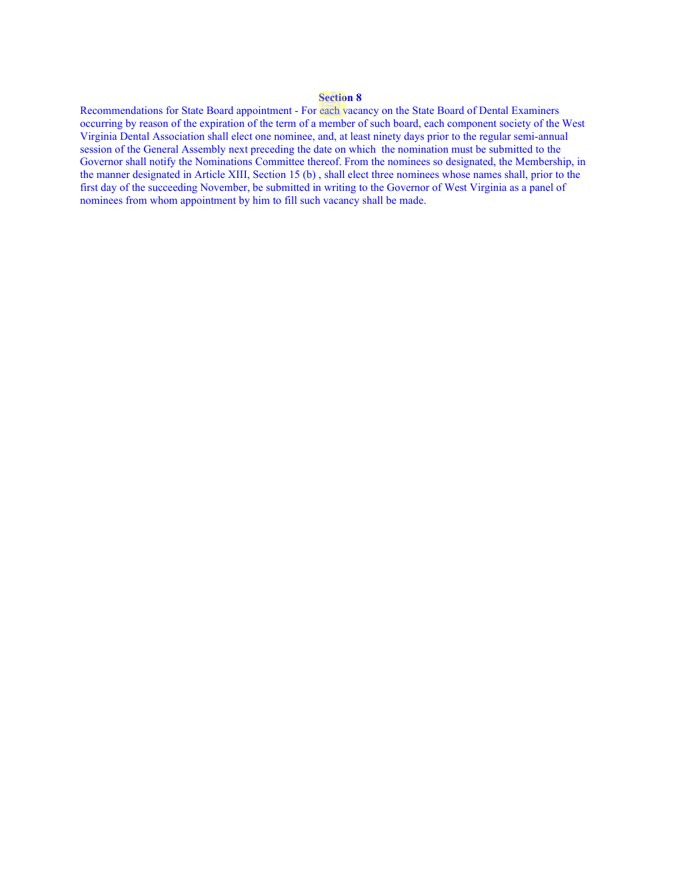# **Section 8**

Recommendations for State Board appointment - For each vacancy on the State Board of Dental Examiners occurring by reason of the expiration of the term of a member of such board, each component society of the West Virginia Dental Association shall elect one nominee, and, at least ninety days prior to the regular semi-annual session of the General Assembly next preceding the date on which the nomination must be submitted to the Governor shall notify the Nominations Committee thereof. From the nominees so designated, the Membership, in the manner designated in Article XIII, Section 15 (b) , shall elect three nominees whose names shall, prior to the first day of the succeeding November, be submitted in writing to the Governor of West Virginia as a panel of nominees from whom appointment by him to fill such vacancy shall be made.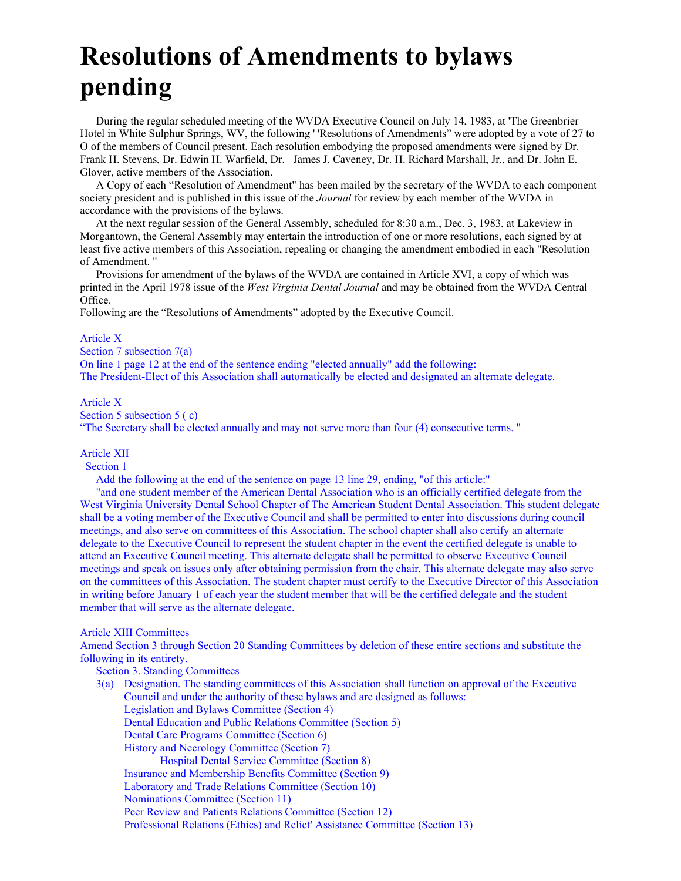# **Resolutions of Amendments to bylaws pending**

During the regular scheduled meeting of the WVDA Executive Council on July 14, 1983, at 'The Greenbrier Hotel in White Sulphur Springs, WV, the following ' 'Resolutions of Amendments" were adopted by a vote of 27 to O of the members of Council present. Each resolution embodying the proposed amendments were signed by Dr. Frank H. Stevens, Dr. Edwin H. Warfield, Dr. James J. Caveney, Dr. H. Richard Marshall, Jr., and Dr. John E. Glover, active members of the Association.

A Copy of each "Resolution of Amendment" has been mailed by the secretary of the WVDA to each component society president and is published in this issue of the *Journal* for review by each member of the WVDA in accordance with the provisions of the bylaws.

At the next regular session of the General Assembly, scheduled for 8:30 a.m., Dec. 3, 1983, at Lakeview in Morgantown, the General Assembly may entertain the introduction of one or more resolutions, each signed by at least five active members of this Association, repealing or changing the amendment embodied in each "Resolution of Amendment. "

Provisions for amendment of the bylaws of the WVDA are contained in Article XVI, a copy of which was printed in the April 1978 issue of the *West Virginia Dental Journal* and may be obtained from the WVDA Central Office.

Following are the "Resolutions of Amendments" adopted by the Executive Council.

#### Article X

Section 7 subsection 7(a)

On line 1 page 12 at the end of the sentence ending "elected annually" add the following: The President-Elect of this Association shall automatically be elected and designated an alternate delegate.

#### Article X

Section 5 subsection 5 (c)

"The Secretary shall be elected annually and may not serve more than four (4) consecutive terms. "

# Article XII

Section 1

Add the following at the end of the sentence on page 13 line 29, ending, "of this article:"

"and one student member of the American Dental Association who is an officially certified delegate from the West Virginia University Dental School Chapter of The American Student Dental Association. This student delegate shall be a voting member of the Executive Council and shall be permitted to enter into discussions during council meetings, and also serve on committees of this Association. The school chapter shall also certify an alternate delegate to the Executive Council to represent the student chapter in the event the certified delegate is unable to attend an Executive Council meeting. This alternate delegate shall be permitted to observe Executive Council meetings and speak on issues only after obtaining permission from the chair. This alternate delegate may also serve on the committees of this Association. The student chapter must certify to the Executive Director of this Association in writing before January 1 of each year the student member that will be the certified delegate and the student member that will serve as the alternate delegate.

#### Article XIII Committees

Amend Section 3 through Section 20 Standing Committees by deletion of these entire sections and substitute the following in its entirety.

#### Section 3. Standing Committees

3(a) Designation. The standing committees of this Association shall function on approval of the Executive Council and under the authority of these bylaws and are designed as follows: Legislation and Bylaws Committee (Section 4) Dental Education and Public Relations Committee (Section 5) Dental Care Programs Committee (Section 6) History and Necrology Committee (Section 7) Hospital Dental Service Committee (Section 8) Insurance and Membership Benefits Committee (Section 9) Laboratory and Trade Relations Committee (Section 10) Nominations Committee (Section 11) Peer Review and Patients Relations Committee (Section 12) Professional Relations (Ethics) and Relief' Assistance Committee (Section 13)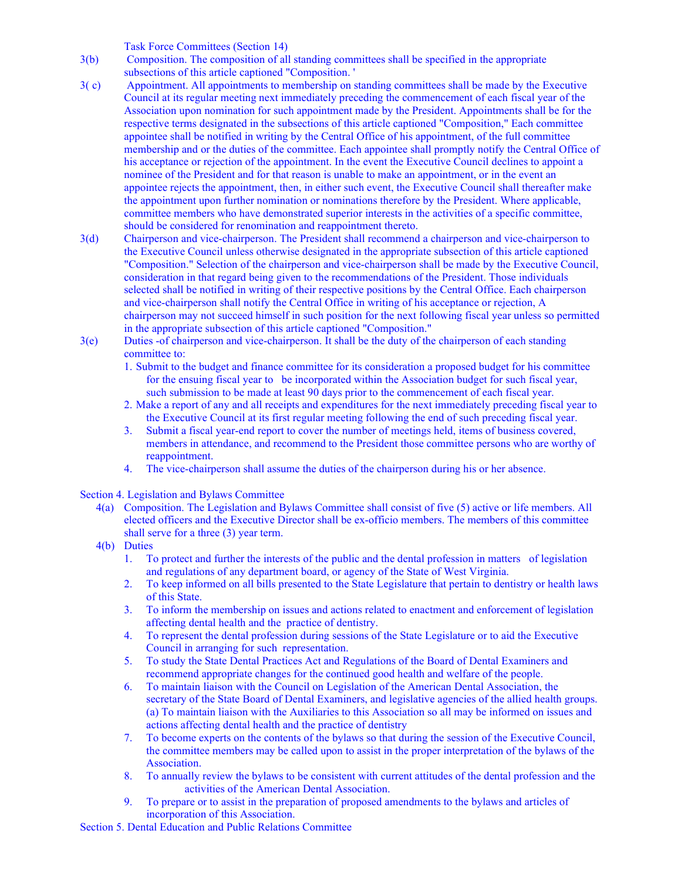Task Force Committees (Section 14)

- 3(b) Composition. The composition of all standing committees shall be specified in the appropriate subsections of this article captioned "Composition. '
- 3( c) Appointment. All appointments to membership on standing committees shall be made by the Executive Council at its regular meeting next immediately preceding the commencement of each fiscal year of the Association upon nomination for such appointment made by the President. Appointments shall be for the respective terms designated in the subsections of this article captioned "Composition," Each committee appointee shall be notified in writing by the Central Office of his appointment, of the full committee membership and or the duties of the committee. Each appointee shall promptly notify the Central Office of his acceptance or rejection of the appointment. In the event the Executive Council declines to appoint a nominee of the President and for that reason is unable to make an appointment, or in the event an appointee rejects the appointment, then, in either such event, the Executive Council shall thereafter make the appointment upon further nomination or nominations therefore by the President. Where applicable, committee members who have demonstrated superior interests in the activities of a specific committee, should be considered for renomination and reappointment thereto.
- 3(d) Chairperson and vice-chairperson. The President shall recommend a chairperson and vice-chairperson to the Executive Council unless otherwise designated in the appropriate subsection of this article captioned "Composition." Selection of the chairperson and vice-chairperson shall be made by the Executive Council, consideration in that regard being given to the recommendations of the President. Those individuals selected shall be notified in writing of their respective positions by the Central Office. Each chairperson and vice-chairperson shall notify the Central Office in writing of his acceptance or rejection, A chairperson may not succeed himself in such position for the next following fiscal year unless so permitted in the appropriate subsection of this article captioned "Composition."
- 3(e) Duties -of chairperson and vice-chairperson. It shall be the duty of the chairperson of each standing committee to:
	- 1. Submit to the budget and finance committee for its consideration a proposed budget for his committee for the ensuing fiscal year to be incorporated within the Association budget for such fiscal year, such submission to be made at least 90 days prior to the commencement of each fiscal year.
	- 2. Make a report of any and all receipts and expenditures for the next immediately preceding fiscal year to the Executive Council at its first regular meeting following the end of such preceding fiscal year.
	- 3. Submit a fiscal year-end report to cover the number of meetings held, items of business covered, members in attendance, and recommend to the President those committee persons who are worthy of reappointment.
	- 4. The vice-chairperson shall assume the duties of the chairperson during his or her absence.

Section 4. Legislation and Bylaws Committee

- 4(a) Composition. The Legislation and Bylaws Committee shall consist of five (5) active or life members. All elected officers and the Executive Director shall be ex-officio members. The members of this committee shall serve for a three (3) year term.
- 4(b) Duties
	- 1. To protect and further the interests of the public and the dental profession in matters of legislation and regulations of any department board, or agency of the State of West Virginia.
	- 2. To keep informed on all bills presented to the State Legislature that pertain to dentistry or health laws of this State.
	- 3. To inform the membership on issues and actions related to enactment and enforcement of legislation affecting dental health and the practice of dentistry.
	- 4. To represent the dental profession during sessions of the State Legislature or to aid the Executive Council in arranging for such representation.
	- 5. To study the State Dental Practices Act and Regulations of the Board of Dental Examiners and recommend appropriate changes for the continued good health and welfare of the people.
	- 6. To maintain liaison with the Council on Legislation of the American Dental Association, the secretary of the State Board of Dental Examiners, and legislative agencies of the allied health groups. (a) To maintain liaison with the Auxiliaries to this Association so all may be informed on issues and actions affecting dental health and the practice of dentistry
	- 7. To become experts on the contents of the bylaws so that during the session of the Executive Council, the committee members may be called upon to assist in the proper interpretation of the bylaws of the Association.
	- 8. To annually review the bylaws to be consistent with current attitudes of the dental profession and the activities of the American Dental Association.
	- 9. To prepare or to assist in the preparation of proposed amendments to the bylaws and articles of incorporation of this Association.

Section 5. Dental Education and Public Relations Committee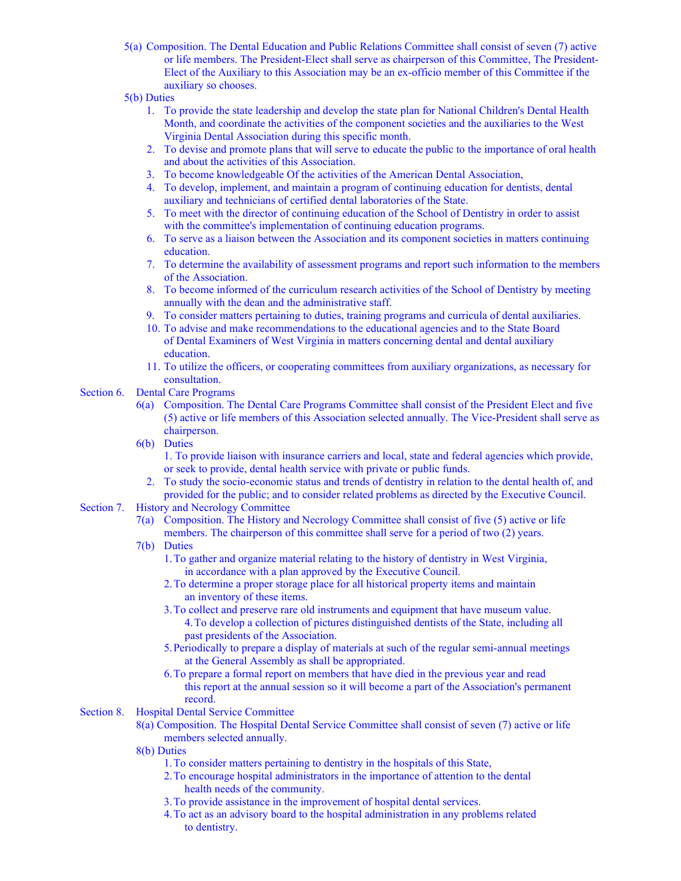- 5(a) Composition. The Dental Education and Public Relations Committee shall consist of seven (7) active or life members. The President-Elect shall serve as chairperson of this Committee, The President-Elect of the Auxiliary to this Association may be an ex-officio member of this Committee if the auxiliary so chooses.
- 5(b) Duties
	- 1. To provide the state leadership and develop the state plan for National Children's Dental Health Month, and coordinate the activities of the component societies and the auxiliaries to the West Virginia Dental Association during this specific month.
	- 2. To devise and promote plans that will serve to educate the public to the importance of oral health and about the activities of this Association.
	- 3. To become knowledgeable Of the activities of the American Dental Association,
	- 4. To develop, implement, and maintain a program of continuing education for dentists, dental auxiliary and technicians of certified dental laboratories of the State.
	- 5. To meet with the director of continuing education of the School of Dentistry in order to assist with the committee's implementation of continuing education programs.
	- 6. To serve as a liaison between the Association and its component societies in matters continuing education.
	- 7. To determine the availability of assessment programs and report such information to the members of the Association.
	- 8. To become informed of the curriculum research activities of the School of Dentistry by meeting annually with the dean and the administrative staff.
	- 9. To consider matters pertaining to duties, training programs and curricula of dental auxiliaries.
	- 10. To advise and make recommendations to the educational agencies and to the State Board of Dental Examiners of West Virginia in matters concerning dental and dental auxiliary education.
	- 11. To utilize the officers, or cooperating committees from auxiliary organizations, as necessary for consultation.

# Section 6. Dental Care Programs

- 6(a) Composition. The Dental Care Programs Committee shall consist of the President Elect and five (5) active or life members of this Association selected annually. The Vice-President shall serve as chairperson.
- 6(b) Duties

1. To provide liaison with insurance carriers and local, state and federal agencies which provide, or seek to provide, dental health service with private or public funds.

- 2. To study the socio-economic status and trends of dentistry in relation to the dental health of, and provided for the public; and to consider related problems as directed by the Executive Council.
- Section 7. History and Necrology Committee
	- 7(a) Composition. The History and Necrology Committee shall consist of five (5) active or life members. The chairperson of this committee shall serve for a period of two (2) years.
	- 7(b) Duties
		- 1.To gather and organize material relating to the history of dentistry in West Virginia, in accordance with a plan approved by the Executive Council.
		- 2.To determine a proper storage place for all historical property items and maintain an inventory of these items.
		- 3.To collect and preserve rare old instruments and equipment that have museum value. 4.To develop a collection of pictures distinguished dentists of the State, including all past presidents of the Association.
		- 5.Periodically to prepare a display of materials at such of the regular semi-annual meetings at the General Assembly as shall be appropriated.
		- 6.To prepare a formal report on members that have died in the previous year and read this report at the annual session so it will become a part of the Association's permanent record.
- Section 8. Hospital Dental Service Committee
	- 8(a) Composition. The Hospital Dental Service Committee shall consist of seven (7) active or life members selected annually.
	- 8(b) Duties
		- 1.To consider matters pertaining to dentistry in the hospitals of this State,
		- 2.To encourage hospital administrators in the importance of attention to the dental health needs of the community.
		- 3.To provide assistance in the improvement of hospital dental services.
		- 4.To act as an advisory board to the hospital administration in any problems related to dentistry.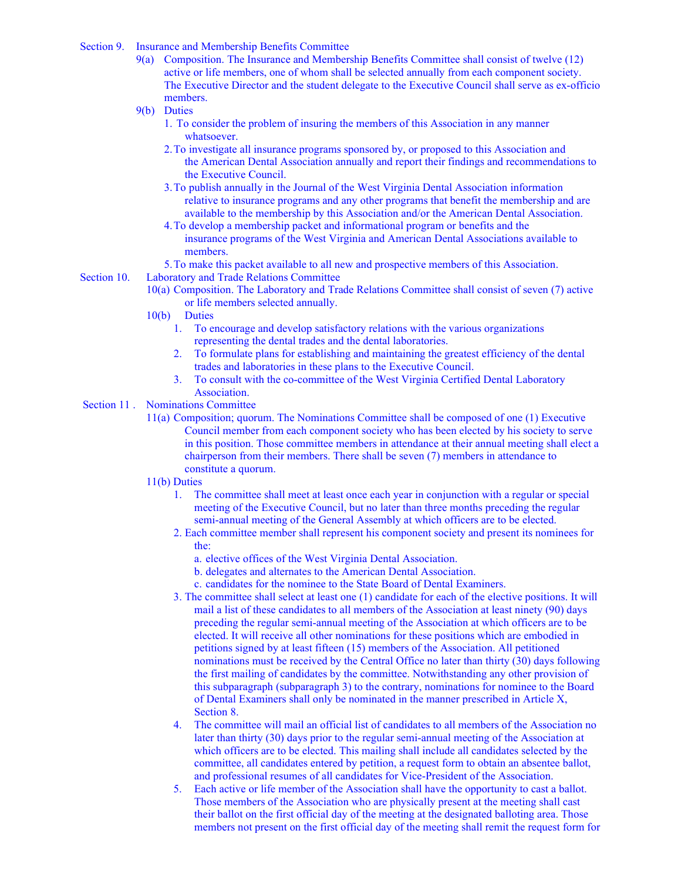- Section 9. Insurance and Membership Benefits Committee
	- 9(a) Composition. The Insurance and Membership Benefits Committee shall consist of twelve (12) active or life members, one of whom shall be selected annually from each component society. The Executive Director and the student delegate to the Executive Council shall serve as ex-officio members.
	- 9(b) Duties
		- 1. To consider the problem of insuring the members of this Association in any manner whatsoever.
		- 2.To investigate all insurance programs sponsored by, or proposed to this Association and the American Dental Association annually and report their findings and recommendations to the Executive Council.
		- 3.To publish annually in the Journal of the West Virginia Dental Association information relative to insurance programs and any other programs that benefit the membership and are available to the membership by this Association and/or the American Dental Association.
		- 4.To develop a membership packet and informational program or benefits and the insurance programs of the West Virginia and American Dental Associations available to members.
		- 5.To make this packet available to all new and prospective members of this Association.
- Section 10. Laboratory and Trade Relations Committee
	- 10(a) Composition. The Laboratory and Trade Relations Committee shall consist of seven (7) active or life members selected annually.
	- 10(b) Duties
		- 1. To encourage and develop satisfactory relations with the various organizations representing the dental trades and the dental laboratories.
		- 2. To formulate plans for establishing and maintaining the greatest efficiency of the dental trades and laboratories in these plans to the Executive Council.
		- 3. To consult with the co-committee of the West Virginia Certified Dental Laboratory Association.

# Section 11 . Nominations Committee

11(a) Composition; quorum. The Nominations Committee shall be composed of one (1) Executive Council member from each component society who has been elected by his society to serve in this position. Those committee members in attendance at their annual meeting shall elect a chairperson from their members. There shall be seven (7) members in attendance to constitute a quorum.

#### 11(b) Duties

- 1. The committee shall meet at least once each year in conjunction with a regular or special meeting of the Executive Council, but no later than three months preceding the regular semi-annual meeting of the General Assembly at which officers are to be elected.
- 2. Each committee member shall represent his component society and present its nominees for the:
	- a. elective offices of the West Virginia Dental Association.
	- b. delegates and alternates to the American Dental Association.
	- c. candidates for the nominee to the State Board of Dental Examiners.
- 3. The committee shall select at least one (1) candidate for each of the elective positions. It will mail a list of these candidates to all members of the Association at least ninety (90) days preceding the regular semi-annual meeting of the Association at which officers are to be elected. It will receive all other nominations for these positions which are embodied in petitions signed by at least fifteen (15) members of the Association. All petitioned nominations must be received by the Central Office no later than thirty (30) days following the first mailing of candidates by the committee. Notwithstanding any other provision of this subparagraph (subparagraph 3) to the contrary, nominations for nominee to the Board of Dental Examiners shall only be nominated in the manner prescribed in Article X, Section 8.
- 4. The committee will mail an official list of candidates to all members of the Association no later than thirty (30) days prior to the regular semi-annual meeting of the Association at which officers are to be elected. This mailing shall include all candidates selected by the committee, all candidates entered by petition, a request form to obtain an absentee ballot, and professional resumes of all candidates for Vice-President of the Association.
- 5. Each active or life member of the Association shall have the opportunity to cast a ballot. Those members of the Association who are physically present at the meeting shall cast their ballot on the first official day of the meeting at the designated balloting area. Those members not present on the first official day of the meeting shall remit the request form for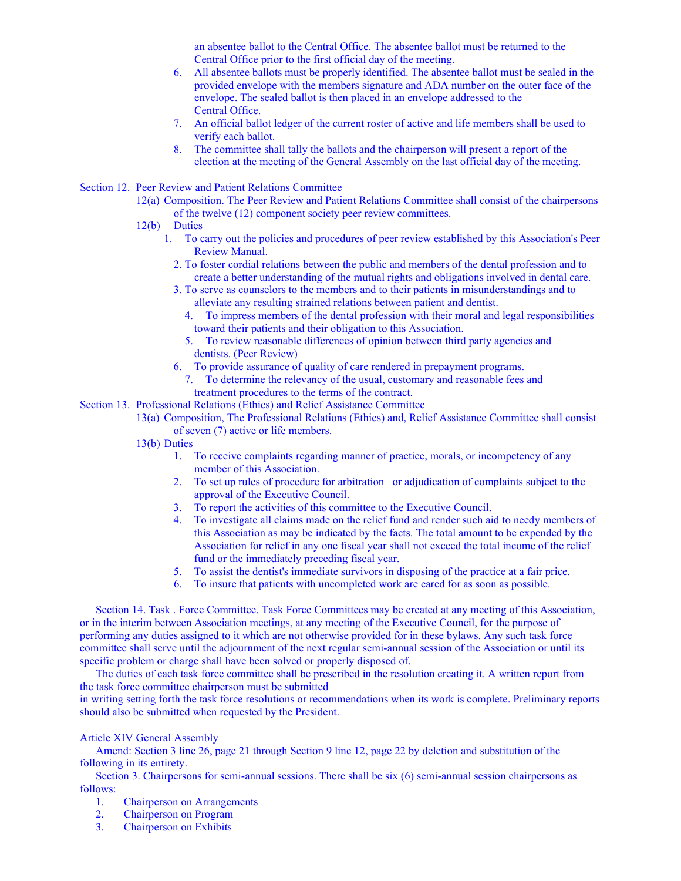an absentee ballot to the Central Office. The absentee ballot must be returned to the Central Office prior to the first official day of the meeting.

- 6. All absentee ballots must be properly identified. The absentee ballot must be sealed in the provided envelope with the members signature and ADA number on the outer face of the envelope. The sealed ballot is then placed in an envelope addressed to the Central Office.
- 7. An official ballot ledger of the current roster of active and life members shall be used to verify each ballot.
- 8. The committee shall tally the ballots and the chairperson will present a report of the election at the meeting of the General Assembly on the last official day of the meeting.
- Section 12. Peer Review and Patient Relations Committee
	- 12(a) Composition. The Peer Review and Patient Relations Committee shall consist of the chairpersons of the twelve (12) component society peer review committees.
	- 12(b) Duties
		- 1. To carry out the policies and procedures of peer review established by this Association's Peer Review Manual.
			- 2. To foster cordial relations between the public and members of the dental profession and to create a better understanding of the mutual rights and obligations involved in dental care.
			- 3. To serve as counselors to the members and to their patients in misunderstandings and to alleviate any resulting strained relations between patient and dentist.
				- 4. To impress members of the dental profession with their moral and legal responsibilities toward their patients and their obligation to this Association.
				- 5. To review reasonable differences of opinion between third party agencies and dentists. (Peer Review)
			- 6. To provide assurance of quality of care rendered in prepayment programs.
				- 7. To determine the relevancy of the usual, customary and reasonable fees and treatment procedures to the terms of the contract.
- Section 13. Professional Relations (Ethics) and Relief Assistance Committee
	- 13(a) Composition, The Professional Relations (Ethics) and, Relief Assistance Committee shall consist of seven (7) active or life members.
		- 13(b) Duties
			- 1. To receive complaints regarding manner of practice, morals, or incompetency of any member of this Association.
			- 2. To set up rules of procedure for arbitration or adjudication of complaints subject to the approval of the Executive Council.
			- 3. To report the activities of this committee to the Executive Council.
			- 4. To investigate all claims made on the relief fund and render such aid to needy members of this Association as may be indicated by the facts. The total amount to be expended by the Association for relief in any one fiscal year shall not exceed the total income of the relief fund or the immediately preceding fiscal year.
			- 5. To assist the dentist's immediate survivors in disposing of the practice at a fair price.
			- 6. To insure that patients with uncompleted work are cared for as soon as possible.

Section 14. Task . Force Committee. Task Force Committees may be created at any meeting of this Association, or in the interim between Association meetings, at any meeting of the Executive Council, for the purpose of performing any duties assigned to it which are not otherwise provided for in these bylaws. Any such task force committee shall serve until the adjournment of the next regular semi-annual session of the Association or until its specific problem or charge shall have been solved or properly disposed of.

The duties of each task force committee shall be prescribed in the resolution creating it. A written report from the task force committee chairperson must be submitted

in writing setting forth the task force resolutions or recommendations when its work is complete. Preliminary reports should also be submitted when requested by the President.

# Article XIV General Assembly

Amend: Section 3 line 26, page 21 through Section 9 line 12, page 22 by deletion and substitution of the following in its entirety.

Section 3. Chairpersons for semi-annual sessions. There shall be six (6) semi-annual session chairpersons as follows:

- 1. Chairperson on Arrangements
- 2. Chairperson on Program
- 3. Chairperson on Exhibits